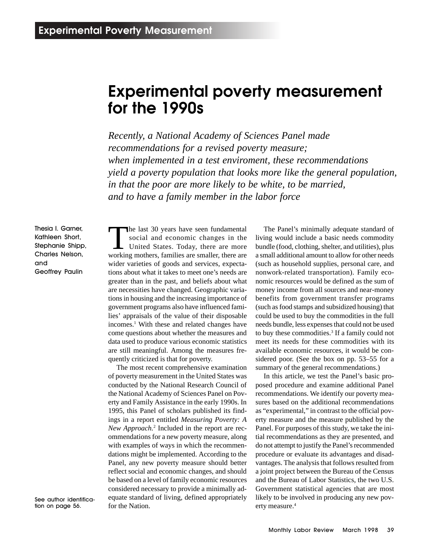# Experimental poverty measurement for the 1990s

*Recently, a National Academy of Sciences Panel made recommendations for a revised poverty measure; when implemented in a test enviroment, these recommendations yield a poverty population that looks more like the general population, in that the poor are more likely to be white, to be married, and to have a family member in the labor force*

Thesia I. Garner, Kathleen Short, Stephanie Shipp, Charles Nelson, and Geoffrey Paulin

See author identification on page 56.

The last 30 years have seen fundamental social and economic changes in the United States. Today, there are more working mothers, families are smaller, there are wider varieties of goods and services, expectations about what it takes to meet one's needs are greater than in the past, and beliefs about what are necessities have changed. Geographic variations in housing and the increasing importance of government programs also have influenced families' appraisals of the value of their disposable incomes.<sup>1</sup> With these and related changes have come questions about whether the measures and data used to produce various economic statistics are still meaningful. Among the measures frequently criticized is that for poverty.

The most recent comprehensive examination of poverty measurement in the United States was conducted by the National Research Council of the National Academy of Sciences Panel on Poverty and Family Assistance in the early 1990s. In 1995, this Panel of scholars published its findings in a report entitled *Measuring Poverty: A New Approach.*<sup>2</sup> Included in the report are recommendations for a new poverty measure, along with examples of ways in which the recommendations might be implemented. According to the Panel, any new poverty measure should better reflect social and economic changes, and should be based on a level of family economic resources considered necessary to provide a minimally adequate standard of living, defined appropriately for the Nation.

The Panel's minimally adequate standard of living would include a basic needs commodity bundle (food, clothing, shelter, and utilities), plus a small additional amount to allow for other needs (such as household supplies, personal care, and nonwork-related transportation). Family economic resources would be defined as the sum of money income from all sources and near-money benefits from government transfer programs (such as food stamps and subsidized housing) that could be used to buy the commodities in the full needs bundle, less expenses that could not be used to buy these commodities.<sup>3</sup> If a family could not meet its needs for these commodities with its available economic resources, it would be considered poor. (See the box on pp. 53–55 for a summary of the general recommendations.)

In this article, we test the Panel's basic proposed procedure and examine additional Panel recommendations. We identify our poverty measures based on the additional recommendations as "experimental," in contrast to the official poverty measure and the measure published by the Panel. For purposes of this study, we take the initial recommendations as they are presented, and do not attempt to justify the Panel's recommended procedure or evaluate its advantages and disadvantages. The analysis that follows resulted from a joint project between the Bureau of the Census and the Bureau of Labor Statistics, the two U.S. Government statistical agencies that are most likely to be involved in producing any new poverty measure.<sup>4</sup>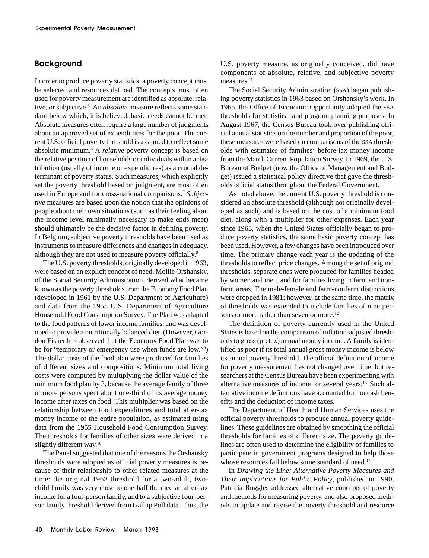### Background

In order to produce poverty statistics, a poverty concept must be selected and resources defined. The concepts most often used for poverty measurement are identified as absolute, relative, or subjective.<sup>5</sup> An *absolute* measure reflects some standard below which, it is believed, basic needs cannot be met. Absolute measures often require a large number of judgments about an approved set of expenditures for the poor. The current U.S. official poverty threshold is assumed to reflect some absolute minimum.<sup>6</sup> A *relative* poverty concept is based on the relative position of households or individuals within a distribution (usually of income or expenditures) as a crucial determinant of poverty status. Such measures, which explicitly set the poverty threshold based on judgment, are most often used in Europe and for cross-national comparisons.7 *Subjective* measures are based upon the notion that the opinions of people about their own situations (such as their feeling about the income level minimally necessary to make ends meet) should ultimately be the decisive factor in defining poverty. In Belgium, subjective poverty thresholds have been used as instruments to measure differences and changes in adequacy, although they are not used to measure poverty officially.8

The U.S. poverty thresholds, originally developed in 1963, were based on an explicit concept of need. Mollie Orshansky, of the Social Security Administration, derived what became known as the poverty thresholds from the Economy Food Plan (developed in 1961 by the U.S. Department of Agriculture) and data from the 1955 U.S. Department of Agriculture Household Food Consumption Survey. The Plan was adapted to the food patterns of lower income families, and was developed to provide a nutritionally balanced diet. (However, Gordon Fisher has observed that the Economy Food Plan was to be for "temporary or emergency use when funds are low."9 ) The dollar costs of the food plan were produced for families of different sizes and compositions. Minimum total living costs were computed by multiplying the dollar value of the minimum food plan by 3, because the average family of three or more persons spent about one-third of its average money income after taxes on food. This multiplier was based on the relationship between food expenditures and total after-tax money income of the entire population, as estimated using data from the 1955 Household Food Consumption Survey. The thresholds for families of other sizes were derived in a slightly different way.<sup>10</sup>

The Panel suggested that one of the reasons the Orshansky thresholds were adopted as official poverty measures is because of their relationship to other related measures at the time: the original 1963 threshold for a two-adult, twochild family was very close to one-half the median after-tax income for a four-person family, and to a subjective four-person family threshold derived from Gallup Poll data. Thus, the U.S. poverty measure, as originally conceived, did have components of absolute, relative, and subjective poverty measures.<sup>11</sup>

The Social Security Administration (SSA) began publishing poverty statistics in 1963 based on Orshansky's work. In 1965, the Office of Economic Opportunity adopted the SSA thresholds for statistical and program planning purposes. In August 1967, the Census Bureau took over publishing official annual statistics on the number and proportion of the poor; these measures were based on comparisons of the SSA thresholds with estimates of families' before-tax money income from the March Current Population Survey. In 1969, the U.S. Bureau of Budget (now the Office of Management and Budget) issued a statistical policy directive that gave the thresholds official status throughout the Federal Government.

As noted above, the current U.S. poverty threshold is considered an absolute threshold (although not originally developed as such) and is based on the cost of a minimum food diet, along with a multiplier for other expenses. Each year since 1963, when the United States officially began to produce poverty statistics, the same basic poverty concept has been used. However, a few changes have been introduced over time. The primary change each year is the updating of the thresholds to reflect price changes. Among the set of original thresholds, separate ones were produced for families headed by women and men, and for families living in farm and nonfarm areas. The male-female and farm-nonfarm distinctions were dropped in 1981; however, at the same time, the matrix of thresholds was extended to include families of nine persons or more rather than seven or more.<sup>12</sup>

The definition of poverty currently used in the United States is based on the comparison of inflation-adjusted thresholds to gross (pretax) annual money income. A family is identified as poor if its total annual gross money income is below its annual poverty threshold. The official definition of income for poverty measurement has not changed over time, but researchers at the Census Bureau have been experimenting with alternative measures of income for several years.13 Such alternative income definitions have accounted for noncash benefits and the deduction of income taxes.

The Department of Health and Human Services uses the official poverty thresholds to produce annual poverty guidelines. These guidelines are obtained by smoothing the official thresholds for families of different size. The poverty guidelines are often used to determine the eligibility of families to participate in government programs designed to help those whose resources fall below some standard of need.<sup>14</sup>

In *Drawing the Line: Alternative Poverty Measures and Their Implications for Public Policy*, published in 1990, Patricia Ruggles addressed alternative concepts of poverty and methods for measuring poverty, and also proposed methods to update and revise the poverty threshold and resource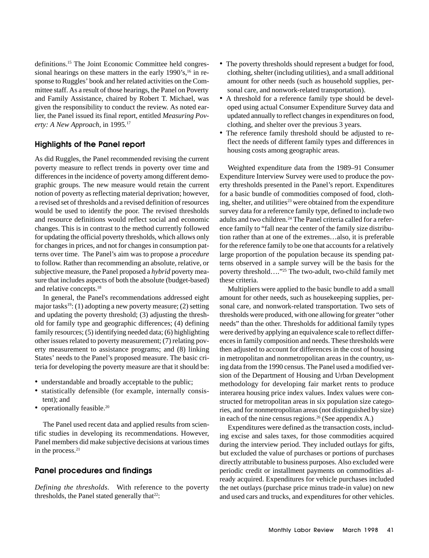definitions.15 The Joint Economic Committee held congressional hearings on these matters in the early  $1990's$ ,<sup>16</sup> in response to Ruggles' book and her related activities on the Committee staff. As a result of those hearings, the Panel on Poverty and Family Assistance, chaired by Robert T. Michael, was given the responsibility to conduct the review. As noted earlier, the Panel issued its final report, entitled *Measuring Poverty: A New Approach,* in 1995*.* 17

### Highlights of the Panel report

As did Ruggles, the Panel recommended revising the current poverty measure to reflect trends in poverty over time and differences in the incidence of poverty among different demographic groups. The new measure would retain the current notion of poverty as reflecting material deprivation; however, a revised set of thresholds and a revised definition of resources would be used to identify the poor. The revised thresholds and resource definitions would reflect social and economic changes. This is in contrast to the method currently followed for updating the official poverty thresholds, which allows only for changes in prices, and not for changes in consumption patterns over time. The Panel's aim was to propose a *procedure* to follow. Rather than recommending an absolute, relative, or subjective measure, the Panel proposed a *hybrid* poverty measure that includes aspects of both the absolute (budget-based) and relative concepts.<sup>18</sup>

In general, the Panel's recommendations addressed eight major tasks<sup>19</sup>: (1) adopting a new poverty measure; (2) setting and updating the poverty threshold; (3) adjusting the threshold for family type and geographic differences; (4) defining family resources; (5) identifying needed data; (6) highlighting other issues related to poverty measurement; (7) relating poverty measurement to assistance programs; and (8) linking States' needs to the Panel's proposed measure. The basic criteria for developing the poverty measure are that it should be:

- understandable and broadly acceptable to the public;
- statistically defensible (for example, internally consistent); and
- operationally feasible.<sup>20</sup>

The Panel used recent data and applied results from scientific studies in developing its recommendations. However, Panel members did make subjective decisions at various times in the process.<sup>21</sup>

### Panel procedures and findings

*Defining the thresholds.* With reference to the poverty thresholds, the Panel stated generally that $22$ :

- The poverty thresholds should represent a budget for food, clothing, shelter (including utilities), and a small additional amount for other needs (such as household supplies, personal care, and nonwork-related transportation).
- A threshold for a reference family type should be developed using actual Consumer Expenditure Survey data and updated annually to reflect changes in expenditures on food, clothing, and shelter over the previous 3 years.
- The reference family threshold should be adjusted to reflect the needs of different family types and differences in housing costs among geographic areas.

Weighted expenditure data from the 1989–91 Consumer Expenditure Interview Survey were used to produce the poverty thresholds presented in the Panel's report. Expenditures for a basic bundle of commodities composed of food, clothing, shelter, and utilities<sup>23</sup> were obtained from the expenditure survey data for a reference family type, defined to include two adults and two children.<sup>24</sup> The Panel criteria called for a reference family to "fall near the center of the family size distribution rather than at one of the extremes…also, it is preferable for the reference family to be one that accounts for a relatively large proportion of the population because its spending patterns observed in a sample survey will be the basis for the poverty threshold…."25 The two-adult, two-child family met these criteria.

Multipliers were applied to the basic bundle to add a small amount for other needs, such as housekeeping supplies, personal care, and nonwork-related transportation. Two sets of thresholds were produced, with one allowing for greater "other needs" than the other. Thresholds for additional family types were derived by applying an equivalence scale to reflect differences in family composition and needs. These thresholds were then adjusted to account for differences in the cost of housing in metropolitan and nonmetropolitan areas in the country, using data from the 1990 census. The Panel used a modified version of the Department of Housing and Urban Development methodology for developing fair market rents to produce interarea housing price index values. Index values were constructed for metropolitan areas in six population size categories, and for nonmetropolitan areas (not distinguished by size) in each of the nine census regions.<sup>26</sup> (See appendix A.)

Expenditures were defined as the transaction costs, including excise and sales taxes, for those commodities acquired during the interview period. They included outlays for gifts, but excluded the value of purchases or portions of purchases directly attributable to business purposes. Also excluded were periodic credit or installment payments on commodities already acquired. Expenditures for vehicle purchases included the net outlays (purchase price minus trade-in value) on new and used cars and trucks, and expenditures for other vehicles.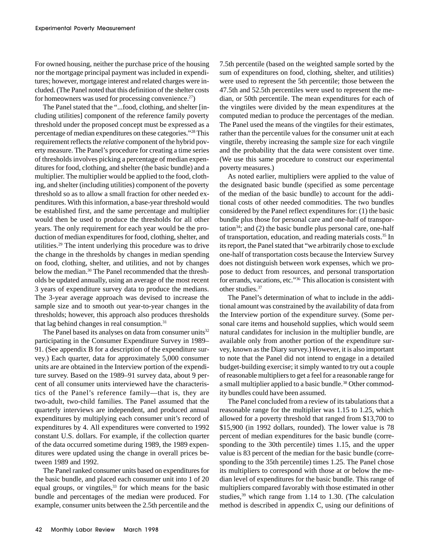For owned housing, neither the purchase price of the housing nor the mortgage principal payment was included in expenditures; however, mortgage interest and related charges were included. (The Panel noted that this definition of the shelter costs for homeowners was used for processing convenience.<sup>27</sup>)

The Panel stated that the "...food, clothing, and shelter [including utilities] component of the reference family poverty threshold under the proposed concept must be expressed as a percentage of median expenditures on these categories."28 This requirement reflects the *relative* component of the hybrid poverty measure. The Panel's procedure for creating a time series of thresholds involves picking a percentage of median expenditures for food, clothing, and shelter (the basic bundle) and a multiplier. The multiplier would be applied to the food, clothing, and shelter (including utilities) component of the poverty threshold so as to allow a small fraction for other needed expenditures. With this information, a base-year threshold would be established first, and the same percentage and multiplier would then be used to produce the thresholds for all other years. The only requirement for each year would be the production of median expenditures for food, clothing, shelter, and utilities.29 The intent underlying this procedure was to drive the change in the thresholds by changes in median spending on food, clothing, shelter, and utilities, and not by changes below the median.<sup>30</sup> The Panel recommended that the thresholds be updated annually, using an average of the most recent 3 years of expenditure survey data to produce the medians. The 3-year average approach was devised to increase the sample size and to smooth out year-to-year changes in the thresholds; however, this approach also produces thresholds that lag behind changes in real consumption.<sup>31</sup>

The Panel based its analyses on data from consumer units<sup>32</sup> participating in the Consumer Expenditure Survey in 1989– 91. (See appendix B for a description of the expenditure survey.) Each quarter, data for approximately 5,000 consumer units are are obtained in the Interview portion of the expenditure survey. Based on the 1989–91 survey data, about 9 percent of all consumer units interviewed have the characteristics of the Panel's reference family—that is, they are two-adult, two-child families. The Panel assumed that the quarterly interviews are independent, and produced annual expenditures by multiplying each consumer unit's record of expenditures by 4. All expenditures were converted to 1992 constant U.S. dollars. For example, if the collection quarter of the data occurred sometime during 1989, the 1989 expenditures were updated using the change in overall prices between 1989 and 1992.

The Panel ranked consumer units based on expenditures for the basic bundle, and placed each consumer unit into 1 of 20 equal groups, or vingtiles,<sup>33</sup> for which means for the basic bundle and percentages of the median were produced. For example, consumer units between the 2.5th percentile and the

7.5th percentile (based on the weighted sample sorted by the sum of expenditures on food, clothing, shelter, and utilities) were used to represent the 5th percentile; those between the 47.5th and 52.5th percentiles were used to represent the median, or 50th percentile. The mean expenditures for each of the vingtiles were divided by the mean expenditures at the computed median to produce the percentages of the median. The Panel used the means of the vingtiles for their estimates, rather than the percentile values for the consumer unit at each vingtile, thereby increasing the sample size for each vingtile and the probability that the data were consistent over time. (We use this same procedure to construct our experimental poverty measures.)

As noted earlier, multipliers were applied to the value of the designated basic bundle (specified as some percentage of the median of the basic bundle) to account for the additional costs of other needed commodities. The two bundles considered by the Panel reflect expenditures for: (1) the basic bundle plus those for personal care and one-half of transportation<sup>34</sup>; and  $(2)$  the basic bundle plus personal care, one-half of transportation, education, and reading materials costs.35 In its report, the Panel stated that "we arbitrarily chose to exclude one-half of transportation costs because the Interview Survey does not distinguish between work expenses, which we propose to deduct from resources, and personal transportation for errands, vacations, etc."36 This allocation is consistent with other studies.<sup>37</sup>

The Panel's determination of what to include in the additional amount was constrained by the availability of data from the Interview portion of the expenditure survey. (Some personal care items and household supplies, which would seem natural candidates for inclusion in the multiplier bundle, are available only from another portion of the expenditure survey, known as the Diary survey.) However, it is also important to note that the Panel did not intend to engage in a detailed budget-building exercise; it simply wanted to try out a couple of reasonable multipliers to get a feel for a reasonable range for a small multiplier applied to a basic bundle.<sup>38</sup> Other commodity bundles could have been assumed.

The Panel concluded from a review of its tabulations that a reasonable range for the multiplier was 1.15 to 1.25, which allowed for a poverty threshold that ranged from \$13,700 to \$15,900 (in 1992 dollars, rounded). The lower value is 78 percent of median expenditures for the basic bundle (corresponding to the 30th percentile) times 1.15, and the upper value is 83 percent of the median for the basic bundle (corresponding to the 35th percentile) times 1.25. The Panel chose its multipliers to correspond with those at or below the median level of expenditures for the basic bundle. This range of multipliers compared favorably with those estimated in other studies,<sup>39</sup> which range from 1.14 to 1.30. (The calculation method is described in appendix C, using our definitions of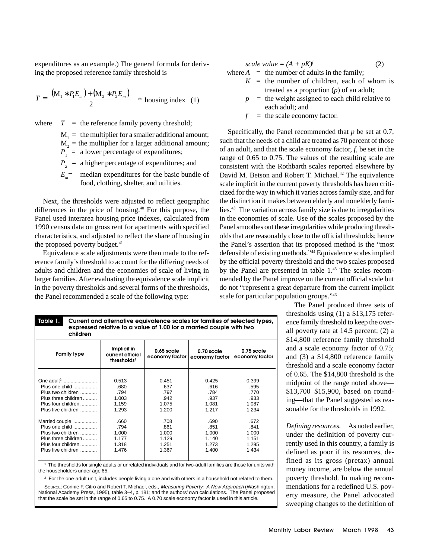expenditures as an example.) The general formula for deriving the proposed reference family threshold is

$$
T = \left[ \frac{(M_1 * P_1 E_m) + (M_2 * P_2 E_m)}{2} \right] * \text{ housing index} \quad (1)
$$

where  $T =$  the reference family poverty threshold;

- $M<sub>1</sub>$  = the multiplier for a smaller additional amount;
- $M<sub>2</sub>$  = the multiplier for a larger additional amount;

 $P_1$  = a lower percentage of expenditures;

 $P_2$  = a higher percentage of expenditures; and

 $E_m$  = median expenditures for the basic bundle of food, clothing, shelter, and utilities.

Next, the thresholds were adjusted to reflect geographic differences in the price of housing.40 For this purpose, the Panel used interarea housing price indexes, calculated from 1990 census data on gross rent for apartments with specified characteristics, and adjusted to reflect the share of housing in the proposed poverty budget.<sup>41</sup>

Equivalence scale adjustments were then made to the reference family's threshold to account for the differing needs of adults and children and the economies of scale of living in larger families. After evaluating the equivalence scale implicit in the poverty thresholds and several forms of the thresholds, the Panel recommended a scale of the following type:

| scale value = $(A + pK)^f$ | (2) |
|----------------------------|-----|
|----------------------------|-----|

where  $A =$  the number of adults in the family;

- $K =$  the number of children, each of whom is treated as a proportion (*p*) of an adult;
- *p =* the weight assigned to each child relative to each adult; and
- $f =$  the scale economy factor.

Specifically, the Panel recommended that *p* be set at 0.7, such that the needs of a child are treated as 70 percent of those of an adult, and that the scale economy factor, *f*, be set in the range of 0.65 to 0.75. The values of the resulting scale are consistent with the Rothbarth scales reported elsewhere by David M. Betson and Robert T. Michael.<sup>42</sup> The equivalence scale implicit in the current poverty thresholds has been criticized for the way in which it varies across family size, and for the distinction it makes between elderly and nonelderly families.43 The variation across family size is due to irregularities in the economies of scale. Use of the scales proposed by the Panel smoothes out these irregularities while producing thresholds that are reasonably close to the official thresholds; hence the Panel's assertion that its proposed method is the "most defensible of existing methods."44 Equivalence scales implied by the official poverty threshold and the two scales proposed by the Panel are presented in table 1.45 The scales recommended by the Panel improve on the current official scale but do not "represent a great departure from the current implicit scale for particular population groups."46

| Table 1.<br>Current and alternative equivalence scales for families of selected types,<br>expressed relative to a value of 1.00 for a married couple with two<br>children |                                                            |                                |                                |                                |  |  |  |  |  |
|---------------------------------------------------------------------------------------------------------------------------------------------------------------------------|------------------------------------------------------------|--------------------------------|--------------------------------|--------------------------------|--|--|--|--|--|
| <b>Family type</b>                                                                                                                                                        | Implicit in<br>current official<br>thresholds <sup>1</sup> | $0.65$ scale<br>economy factor | $0.70$ scale<br>economy factor | $0.75$ scale<br>economy factor |  |  |  |  |  |
|                                                                                                                                                                           |                                                            |                                |                                |                                |  |  |  |  |  |
| One adult <sup>2</sup>                                                                                                                                                    | 0.513                                                      | 0.451                          | 0.425                          | 0.399                          |  |  |  |  |  |
| Plus one child                                                                                                                                                            | .680                                                       | .637                           | .616                           | .595                           |  |  |  |  |  |
| Plus two children                                                                                                                                                         | .794                                                       | .797                           | .784                           | .770                           |  |  |  |  |  |
| Plus three children                                                                                                                                                       | 1.003                                                      | .942                           | .937                           | .933                           |  |  |  |  |  |
| Plus four children                                                                                                                                                        | 1.159                                                      | 1.075                          | 1.081                          | 1.087                          |  |  |  |  |  |
| Plus five children                                                                                                                                                        | 1.293                                                      | 1.200                          | 1.217                          | 1.234                          |  |  |  |  |  |
|                                                                                                                                                                           |                                                            |                                |                                |                                |  |  |  |  |  |
| Married couple                                                                                                                                                            | .660                                                       | .708                           | .690                           | .672                           |  |  |  |  |  |
| Plus one child                                                                                                                                                            | .794                                                       | .861                           | .851                           | .841                           |  |  |  |  |  |
| Plus two children                                                                                                                                                         | 1.000                                                      | 1.000                          | 1.000                          | 1.000                          |  |  |  |  |  |
| Plus three children                                                                                                                                                       | 1.177                                                      | 1.129                          | 1.140                          | 1.151                          |  |  |  |  |  |
| Plus four children                                                                                                                                                        | 1.318                                                      | 1.251                          | 1.273                          | 1.295                          |  |  |  |  |  |
| Plus five children                                                                                                                                                        | 1476                                                       | 1.367                          | 1.400                          | 1.434                          |  |  |  |  |  |
|                                                                                                                                                                           |                                                            |                                |                                |                                |  |  |  |  |  |

1 The thresholds for single adults or unrelated individuals and for two-adult families are those for units with the householders under age 65.

<sup>2</sup> For the one-adult unit, includes people living alone and with others in a household not related to them.

SOURCE: Connie F. Citro and Robert T. Michael, eds., Measuring Poverty: A New Approach (Washington, National Academy Press, 1995), table 3–4, p. 181; and the authors' own calculations. The Panel proposed that the scale be set in the range of 0.65 to 0.75. A 0.70 scale economy factor is used in this article.

The Panel produced three sets of thresholds using (1) a \$13,175 reference family threshold to keep the overall poverty rate at 14.5 percent; (2) a \$14,800 reference family threshold and a scale economy factor of 0.75; and (3) a \$14,800 reference family threshold and a scale economy factor of 0.65. The \$14,800 threshold is the midpoint of the range noted above— \$13,700–\$15,900, based on rounding—that the Panel suggested as reasonable for the thresholds in 1992.

*Defining resources.* As noted earlier, under the definition of poverty currently used in this country, a family is defined as poor if its resources, defined as its gross (pretax) annual money income, are below the annual poverty threshold. In making recommendations for a redefined U.S. poverty measure, the Panel advocated sweeping changes to the definition of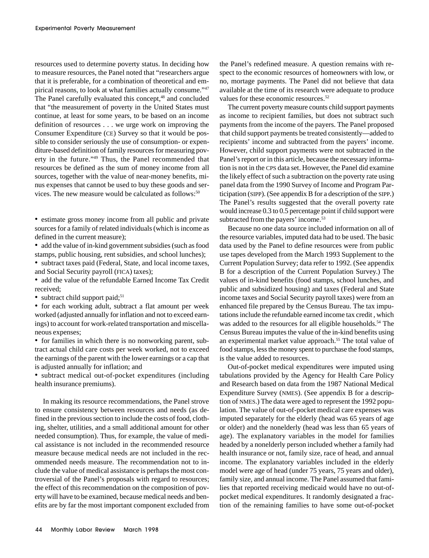resources used to determine poverty status. In deciding how to measure resources, the Panel noted that "researchers argue that it is preferable, for a combination of theoretical and empirical reasons, to look at what families actually consume."47 The Panel carefully evaluated this concept,<sup>48</sup> and concluded that "the measurement of poverty in the United States must continue, at least for some years, to be based on an income definition of resources . . . we urge work on improving the Consumer Expenditure (CE) Survey so that it would be possible to consider seriously the use of consumption- or expenditure-based definition of family resources for measuring poverty in the future."49 Thus, the Panel recommended that resources be defined as the sum of money income from all sources, together with the value of near-money benefits, minus expenses that cannot be used to buy these goods and services. The new measure would be calculated as follows:<sup>50</sup>

• estimate gross money income from all public and private sources for a family of related individuals (which is income as defined in the current measure);

• add the value of in-kind government subsidies (such as food stamps, public housing, rent subsidies, and school lunches);

• subtract taxes paid (Federal, State, and local income taxes, and Social Security payroll (FICA) taxes);

• add the value of the refundable Earned Income Tax Credit received;

• subtract child support paid;<sup>51</sup>

• for each working adult, subtract a flat amount per week worked (adjusted annually for inflation and not to exceed earnings) to account for work-related transportation and miscellaneous expenses;

• for families in which there is no nonworking parent, subtract actual child care costs per week worked, not to exceed the earnings of the parent with the lower earnings or a cap that is adjusted annually for inflation; and

• subtract medical out-of-pocket expenditures (including health insurance premiums).

In making its resource recommendations, the Panel strove to ensure consistency between resources and needs (as defined in the previous section to include the costs of food, clothing, shelter, utilities, and a small additional amount for other needed consumption). Thus, for example, the value of medical assistance is not included in the recommended resource measure because medical needs are not included in the recommended needs measure. The recommendation not to include the value of medical assistance is perhaps the most controversial of the Panel's proposals with regard to resources; the effect of this recommendation on the composition of poverty will have to be examined, because medical needs and benefits are by far the most important component excluded from the Panel's redefined measure. A question remains with respect to the economic resources of homeowners with low, or no, mortage payments. The Panel did not believe that data available at the time of its research were adequate to produce values for these economic resources.<sup>52</sup>

The current poverty measure counts child support payments as income to recipient families, but does not subtract such payments from the income of the payers. The Panel proposed that child support payments be treated consistently—added to recipients' income and subtracted from the payers' income. However, child support payments were not subtracted in the Panel's report or in this article, because the necessary information is not in the CPS data set. However, the Panel did examine the likely effect of such a subtraction on the poverty rate using panel data from the 1990 Survey of Income and Program Participation (SIPP). (See appendix B for a description of the SIPP.) The Panel's results suggested that the overall poverty rate would increase 0.3 to 0.5 percentage point if child support were subtracted from the payers' income.<sup>53</sup>

Because no one data source included information on all of the resource variables, imputed data had to be used. The basic data used by the Panel to define resources were from public use tapes developed from the March 1993 Supplement to the Current Population Survey; data refer to 1992. (See appendix B for a description of the Current Population Survey.) The values of in-kind benefits (food stamps, school lunches, and public and subsidized housing) and taxes (Federal and State income taxes and Social Security payroll taxes) were from an enhanced file prepared by the Census Bureau. The tax imputations include the refundable earned income tax credit , which was added to the resources for all eligible households.<sup>54</sup> The Census Bureau imputes the value of the in-kind benefits using an experimental market value approach.<sup>55</sup> The total value of food stamps, less the money spent to purchase the food stamps, is the value added to resources.

Out-of-pocket medical expenditures were imputed using tabulations provided by the Agency for Health Care Policy and Research based on data from the 1987 National Medical Expenditure Survey (NMES). (See appendix B for a description of NMES.) The data were aged to represent the 1992 population. The value of out-of-pocket medical care expenses was imputed separately for the elderly (head was 65 years of age or older) and the nonelderly (head was less than 65 years of age). The explanatory variables in the model for families headed by a nonelderly person included whether a family had health insurance or not, family size, race of head, and annual income. The explanatory variables included in the elderly model were age of head (under 75 years, 75 years and older), family size, and annual income. The Panel assumed that families that reported receiving medicaid would have no out-ofpocket medical expenditures. It randomly designated a fraction of the remaining families to have some out-of-pocket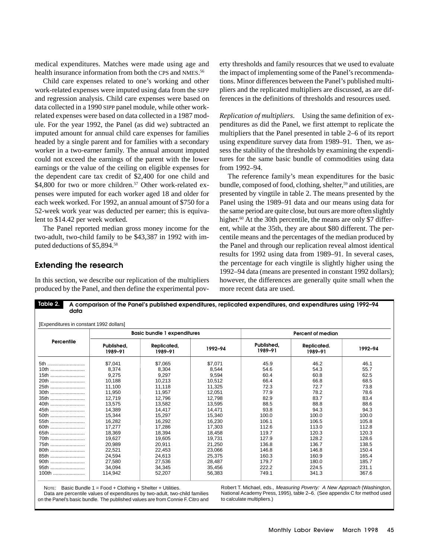medical expenditures. Matches were made using age and health insurance information from both the CPS and NMES. 56

Child care expenses related to one's working and other work-related expenses were imputed using data from the SIPP and regression analysis. Child care expenses were based on data collected in a 1990 SIPP panel module, while other workrelated expenses were based on data collected in a 1987 module. For the year 1992, the Panel (as did we) subtracted an imputed amount for annual child care expenses for families headed by a single parent and for families with a secondary worker in a two-earner family. The annual amount imputed could not exceed the earnings of the parent with the lower earnings or the value of the ceiling on eligible expenses for the dependent care tax credit of \$2,400 for one child and \$4,800 for two or more children.<sup>57</sup> Other work-related expenses were imputed for each worker aged 18 and older for each week worked. For 1992, an annual amount of \$750 for a 52-week work year was deducted per earner; this is equivalent to \$14.42 per week worked.

The Panel reported median gross money income for the two-adult, two-child family to be \$43,387 in 1992 with imputed deductions of \$5,894.58

#### Extending the research

In this section, we describe our replication of the multipliers produced by the Panel, and then define the experimental poverty thresholds and family resources that we used to evaluate the impact of implementing some of the Panel's recommendations. Minor differences between the Panel's published multipliers and the replicated multipliers are discussed, as are differences in the definitions of thresholds and resources used.

*Replication of multipliers*. Using the same definition of expenditures as did the Panel, we first attempt to replicate the multipliers that the Panel presented in table 2–6 of its report using expenditure survey data from 1989–91. Then, we assess the stability of the thresholds by examining the expenditures for the same basic bundle of commodities using data from 1992–94.

The reference family's mean expenditures for the basic bundle, composed of food, clothing, shelter,<sup>59</sup> and utilities, are presented by vingtile in table 2. The means presented by the Panel using the 1989–91 data and our means using data for the same period are quite close, but ours are more often slightly higher.<sup>60</sup> At the 30th percentile, the means are only \$7 different, while at the 35th, they are about \$80 different. The percentile means and the percentages of the median produced by the Panel and through our replication reveal almost identical results for 1992 using data from 1989–91. In several cases, the percentage for each vingtile is slightly higher using the 1992–94 data (means are presented in constant 1992 dollars); however, the differences are generally quite small when the more recent data are used.

| Table 2. A comparison of the Panel's published expenditures, replicated expenditures, and expenditures using 1992-94 |  |
|----------------------------------------------------------------------------------------------------------------------|--|
| data                                                                                                                 |  |

|            |                       | <b>Basic bundle 1 expenditures</b> |         | Percent of median     |                        |         |  |
|------------|-----------------------|------------------------------------|---------|-----------------------|------------------------|---------|--|
| Percentile | Published,<br>1989-91 | Replicated,<br>1989-91             | 1992-94 | Published,<br>1989-91 | Replicated.<br>1989-91 | 1992-94 |  |
| 5th        | \$7,041               | \$7,065                            | \$7,071 | 45.9                  | 46.2                   | 46.1    |  |
| 10th       | 8,374                 | 8,304                              | 8,544   | 54.6                  | 54.3                   | 55.7    |  |
| 15th       | 9,275                 | 9,297                              | 9,594   | 60.4                  | 60.8                   | 62.5    |  |
| 20th       | 10,188                | 10,213                             | 10,512  | 66.4                  | 66.8                   | 68.5    |  |
| 25th       | 11,100                | 11,118                             | 11,325  | 72.3                  | 72.7                   | 73.8    |  |
| 30th       | 11,950                | 11,957                             | 12,051  | 77.9                  | 78.2                   | 78.6    |  |
| 35th       | 12,719                | 12,796                             | 12,798  | 82.9                  | 83.7                   | 83.4    |  |
| 40th       | 13,575                | 13,582                             | 13,595  | 88.5                  | 88.8                   | 88.6    |  |
| 45th       | 14,389                | 14,417                             | 14,471  | 93.8                  | 94.3                   | 94.3    |  |
| 50th       | 15,344                | 15,297                             | 15,340  | 100.0                 | 100.0                  | 100.0   |  |
| 55th       | 16,282                | 16,292                             | 16,230  | 106.1                 | 106.5                  | 105.8   |  |
| 60th       | 17,277                | 17,286                             | 17,303  | 112.6                 | 113.0                  | 112.8   |  |
| 65th       | 18,369                | 18,394                             | 18,458  | 119.7                 | 120.3                  | 120.3   |  |
| 70th       | 19,627                | 19,605                             | 19,731  | 127.9                 | 128.2                  | 128.6   |  |
| 75th       | 20,989                | 20,911                             | 21,250  | 136.8                 | 136.7                  | 138.5   |  |
| 80th       | 22,521                | 22,453                             | 23,066  | 146.8                 | 146.8                  | 150.4   |  |
| 85th       | 24,594                | 24,613                             | 25,375  | 160.3                 | 160.9                  | 165.4   |  |
| 90th       | 27,580                | 27,536                             | 28,487  | 179.7                 | 180.0                  | 185.7   |  |
| 95th       | 34,094                | 34,345                             | 35,456  | 222.2                 | 224.5                  | 231.1   |  |
| 100th      | 114,942               | 52,207                             | 56,383  | 749.1                 | 341.3                  | 367.6   |  |

NOTE: Basic Bundle 1 = Food + Clothing + Shelter + Utilities.

Data are percentile values of expenditures by two-adult, two-child families on the Panel's basic bundle. The published values are from Connie F. Citro and

Robert T. Michael, eds., Measuring Poverty: A New Approach (Washington, National Academy Press, 1995), table 2–6. (See appendix C for method used to calculate multipliers.)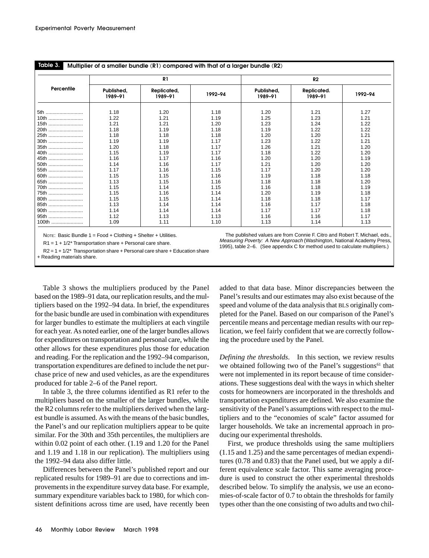|            |                       | R1                     |         |                       | R <sub>2</sub>         |         |
|------------|-----------------------|------------------------|---------|-----------------------|------------------------|---------|
| Percentile | Published,<br>1989-91 | Replicated,<br>1989-91 | 1992-94 | Published.<br>1989-91 | Replicated.<br>1989-91 | 1992-94 |
| 5th        | 1.18                  | 1.20                   | 1.18    | 1.20                  | 1.21                   | 1.27    |
| 10th       | 1.22                  | 1.21                   | 1.19    | 1.25                  | 1.23                   | 1.21    |
| 15th       | 1.21                  | 1.21                   | 1.20    | 1.23                  | 1.24                   | 1.22    |
| 20th       | 1.18                  | 1.19                   | 1.18    | 1.19                  | 1.22                   | 1.22    |
| 25th       | 1.18                  | 1.18                   | 1.18    | 1.20                  | 1.20                   | 1.21    |
| 30th       | 1.19                  | 1.19                   | 1.17    | 1.23                  | 1.22                   | 1.21    |
| 35th       | 1.20                  | 1.18                   | 1.17    | 1.26                  | 1.21                   | 1.20    |
| 40th       | 1.15                  | 1.19                   | 1.17    | 1.18                  | 1.22                   | 1.20    |
| 45th       | 1.16                  | 1.17                   | 1.16    | 1.20                  | 1.20                   | 1.19    |
| 50th       | 1.14                  | 1.16                   | 1.17    | 1.21                  | 1.20                   | 1.20    |
| 55th       | 1.17                  | 1.16                   | 1.15    | 1.17                  | 1.20                   | 1.20    |
| 60th       | 1.15                  | 1.15                   | 1.16    | 1.19                  | 1.18                   | 1.18    |
| 65th       | 1.13                  | 1.15                   | 1.16    | 1.18                  | 1.18                   | 1.20    |
| 70th       | 1.15                  | 1.14                   | 1.15    | 1.16                  | 1.18                   | 1.19    |
| 75th       | 1.15                  | 1.16                   | 1.14    | 1.20                  | 1.19                   | 1.18    |
| 80th       | 1.15                  | 1.15                   | 1.14    | 1.18                  | 1.18                   | 1.17    |
| 85th       | 1.13                  | 1.14                   | 1.14    | 1.16                  | 1.17                   | 1.18    |
| 90th       | 1.14                  | 1.14                   | 1.14    | 1.17                  | 1.17                   | 1.18    |
| 95th       | 1.12                  | 1.13                   | 1.13    | 1.16                  | 1.16                   | 1.17    |
| 100th      | 1.09                  | 1.11                   | 1.10    | 1.13                  | 1.14                   | 1.13    |

NOTE: Basic Bundle 1 = Food + Clothing + Shelter + Utilities.

The published values are from Connie F. Citro and Robert T. Michael, eds., Measuring Poverty: A New Approach (Washington, National Academy Press,

R1 = 1 + 1/2\* Transportation share + Personal care share.

R2 = 1 + 1/2\* Transportation share + Personal care share + Education share

1995), table 2–6. (See appendix C for method used to calculate multipliers.)

+ Reading materials share.

Table 3 shows the multipliers produced by the Panel based on the 1989–91 data, our replication results, and the multipliers based on the 1992–94 data. In brief, the expenditures for the basic bundle are used in combination with expenditures for larger bundles to estimate the multipliers at each vingtile for each year. As noted earlier, one of the larger bundles allows for expenditures on transportation and personal care, while the other allows for these expenditures plus those for education and reading. For the replication and the 1992–94 comparison, transportation expenditures are defined to include the net purchase price of new and used vehicles, as are the expenditures produced for table 2–6 of the Panel report.

In table 3, the three columns identified as R1 refer to the multipliers based on the smaller of the larger bundles, while the R2 columns refer to the multipliers derived when the largest bundle is assumed. As with the means of the basic bundles, the Panel's and our replication multipliers appear to be quite similar. For the 30th and 35th percentiles, the multipliers are within 0.02 point of each other. (1.19 and 1.20 for the Panel and 1.19 and 1.18 in our replication). The multipliers using the 1992–94 data also differ little.

Differences between the Panel's published report and our replicated results for 1989–91 are due to corrections and improvements in the expenditure survey data base. For example, summary expenditure variables back to 1980, for which consistent definitions across time are used, have recently been added to that data base. Minor discrepancies between the Panel's results and our estimates may also exist because of the speed and volume of the data analysis that BLS originally completed for the Panel. Based on our comparison of the Panel's percentile means and percentage median results with our replication, we feel fairly confident that we are correctly following the procedure used by the Panel.

*Defining the thresholds*. In this section, we review results we obtained following two of the Panel's suggestions<sup>61</sup> that were not implemented in its report because of time considerations. These suggestions deal with the ways in which shelter costs for homeowners are incorporated in the thresholds and transportation expenditures are defined. We also examine the sensitivity of the Panel's assumptions with respect to the multipliers and to the "economies of scale" factor assumed for larger households. We take an incremental approach in producing our experimental thresholds.

First, we produce thresholds using the same multipliers (1.15 and 1.25) and the same percentages of median expenditures (0.78 and 0.83) that the Panel used, but we apply a different equivalence scale factor. This same averaging procedure is used to construct the other experimental thresholds described below. To simplify the analysis, we use an economies-of-scale factor of 0.7 to obtain the thresholds for family types other than the one consisting of two adults and two chil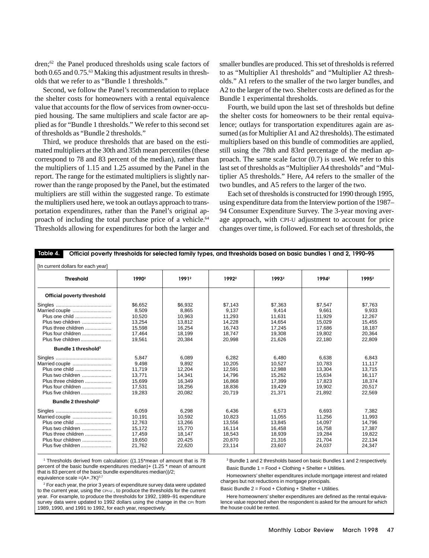dren;62 the Panel produced thresholds using scale factors of both 0.65 and 0.75.63 Making this adjustment results in thresholds that we refer to as "Bundle 1 thresholds."

Second, we follow the Panel's recommendation to replace the shelter costs for homeowners with a rental equivalence value that accounts for the flow of services from owner-occupied housing. The same multipliers and scale factor are applied as for "Bundle 1 thresholds." We refer to this second set of thresholds as "Bundle 2 thresholds."

Third, we produce thresholds that are based on the estimated multipliers at the 30th and 35th mean percentiles (these correspond to 78 and 83 percent of the median), rather than the multipliers of 1.15 and 1.25 assumed by the Panel in the report. The range for the estimated multipliers is slightly narrower than the range proposed by the Panel, but the estimated multipliers are still within the suggested range. To estimate the multipliers used here, we took an outlays approach to transportation expenditures, rather than the Panel's original approach of including the total purchase price of a vehicle.<sup>64</sup> Thresholds allowing for expenditures for both the larger and smaller bundles are produced. This set of thresholds is referred to as "Multiplier A1 thresholds" and "Multiplier A2 thresholds." A1 refers to the smaller of the two larger bundles, and A2 to the larger of the two. Shelter costs are defined as for the Bundle 1 experimental thresholds.

Fourth, we build upon the last set of thresholds but define the shelter costs for homeowners to be their rental equivalence; outlays for transportation expenditures again are assumed (as for Multiplier A1 and A2 thresholds). The estimated multipliers based on this bundle of commodities are applied, still using the 78th and 83rd percentage of the median approach. The same scale factor  $(0.7)$  is used. We refer to this last set of thresholds as "Multiplier A4 thresholds" and "Multiplier A5 thresholds." Here, A4 refers to the smaller of the two bundles, and A5 refers to the larger of the two.

Each set of thresholds is constructed for 1990 through 1995, using expenditure data from the Interview portion of the 1987– 94 Consumer Expenditure Survey. The 3-year moving average approach, with CPI-U adjustment to account for price changes over time, is followed. For each set of thresholds, the

| Table 4.<br>Official poverty thresholds for selected family types, and thresholds based on basic bundles 1 and 2, 1990–95 |                   |         |                   |                   |                   |                   |  |  |
|---------------------------------------------------------------------------------------------------------------------------|-------------------|---------|-------------------|-------------------|-------------------|-------------------|--|--|
| [In current dollars for each year]                                                                                        |                   |         |                   |                   |                   |                   |  |  |
| <b>Threshold</b>                                                                                                          | 1990 <sup>2</sup> | 19912   | 1992 <sup>2</sup> | 1993 <sup>2</sup> | 1994 <sup>2</sup> | 1995 <sup>2</sup> |  |  |
| Official poverty threshold                                                                                                |                   |         |                   |                   |                   |                   |  |  |
|                                                                                                                           | \$6,652           | \$6,932 | \$7,143           | \$7,363           | \$7,547           | \$7,763           |  |  |
| Married couple                                                                                                            | 8.509             | 8.865   | 9.137             | 9.414             | 9.661             | 9.933             |  |  |
| Plus one child                                                                                                            | 10,520            | 10,963  | 11,293            | 11.631            | 11,929            | 12,267            |  |  |
| Plus two children                                                                                                         | 13,254            | 13,812  | 14,228            | 14,654            | 15,029            | 15,455            |  |  |
| Plus three children                                                                                                       | 15,598            | 16.254  | 16.743            | 17.245            | 17.686            | 18.187            |  |  |
| Plus four children                                                                                                        | 17,464            | 18,199  | 18.747            | 19.308            | 19.802            | 20,364            |  |  |
| Plus five children                                                                                                        | 19,561            | 20,384  | 20,998            | 21,626            | 22,180            | 22,809            |  |  |
| Bundle 1 threshold <sup>3</sup>                                                                                           |                   |         |                   |                   |                   |                   |  |  |
|                                                                                                                           | 5,847             | 6,089   | 6.282             | 6,480             | 6,638             | 6,843             |  |  |
| Married couple                                                                                                            | 9.498             | 9,892   | 10,205            | 10,527            | 10.783            | 11,117            |  |  |
| Plus one child                                                                                                            | 11,719            | 12.204  | 12.591            | 12,988            | 13.304            | 13,715            |  |  |
| Plus two children                                                                                                         | 13,771            | 14,341  | 14,796            | 15,262            | 15,634            | 16,117            |  |  |
| Plus three children                                                                                                       | 15,699            | 16,349  | 16,868            | 17,399            | 17,823            | 18,374            |  |  |
| Plus four children                                                                                                        | 17.531            | 18,256  | 18,836            | 19,429            | 19.902            | 20.517            |  |  |
| Plus five children                                                                                                        | 19,283            | 20,082  | 20.719            | 21,371            | 21.892            | 22,569            |  |  |
| Bundle 2 threshold <sup>3</sup>                                                                                           |                   |         |                   |                   |                   |                   |  |  |
|                                                                                                                           | 6.059             | 6.298   | 6.436             | 6.573             | 6.693             | 7.382             |  |  |
| Married couple                                                                                                            | 10,191            | 10,592  | 10,823            | 11,055            | 11,256            | 11,993            |  |  |
| Plus one child                                                                                                            | 12.763            | 13,266  | 13.556            | 13.845            | 14.097            | 14.796            |  |  |
| Plus two children                                                                                                         | 15.172            | 15.770  | 16.114            | 16,458            | 16.758            | 17,387            |  |  |
| Plus three children                                                                                                       | 17,459            | 18,147  | 18,543            | 18,939            | 19,284            | 19,822            |  |  |
| Plus four children                                                                                                        | 19,650            | 20.425  | 20.870            | 21,316            | 21.704            | 22,134            |  |  |
| Plus five children                                                                                                        | 21,762            | 22,620  | 23,114            | 23,607            | 24,037            | 24,347            |  |  |
|                                                                                                                           |                   |         |                   |                   |                   |                   |  |  |

1 Thresholds derived from calculation: ((1.15\*mean of amount that is 78 percent of the basic bundle expenditures median)+ (1.25 \* mean of amount that is 83 percent of the basic bundle expenditures median))/2; equivalence scale  $=(A+.7K)^{0.7}$ 

3 Bundle 1 and 2 thresholds based on basic Bundles 1 and 2 respectively. Basic Bundle 1 = Food + Clothing + Shelter + Utilities.

Homeowners' shelter expenditures include mortgage interest and related charges but not reductions in mortgage principals.

Basic Bundle 2 = Food + Clothing + Shelter + Utilities.

Here homeowners' shelter expenditures are defined as the rental equivalence value reported when the respondent is asked for the amount for which the house could be rented.

2 For each year, the prior 3 years of expenditure survey data were updated to the current year, using the CPI-U , to produce the thresholds for the current year. For example, to produce the thresholds for 1992, 1989–91 expenditure survey data were updated to 1992 dollars using the change in the CPI from 1989, 1990, and 1991 to 1992, for each year, respectively.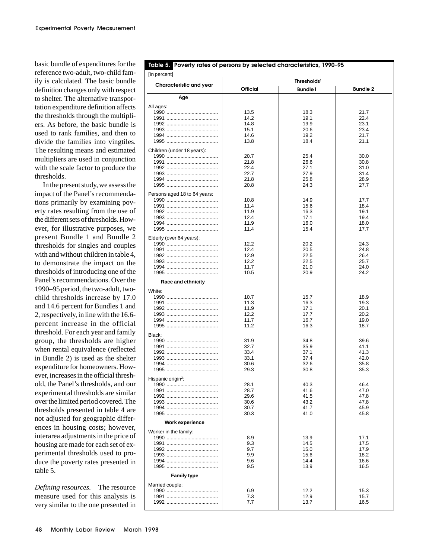basic bundle of expenditures for the reference two-adult, two-child family is calculated. The basic bundle definition changes only with respect to shelter. The alternative transportation expenditure definition affects the thresholds through the multipliers. As before, the basic bundle is used to rank families, and then to divide the families into vingtiles. The resulting means and estimated multipliers are used in conjunction with the scale factor to produce the thresholds.

In the present study, we assess the impact of the Panel's recommendations primarily by examining poverty rates resulting from the use of the different sets of thresholds. However, for illustrative purposes, we present Bundle 1 and Bundle 2 thresholds for singles and couples with and without children in table 4, to demonstrate the impact on the thresholds of introducing one of the Panel's recommendations. Over the 1990–95 period, the two-adult, twochild thresholds increase by 17.0 and 14.6 percent for Bundles 1 and 2, respectively, in line with the 16.6 percent increase in the official threshold. For each year and family group, the thresholds are higher when rental equivalence (reflected in Bundle 2) is used as the shelter expenditure for homeowners. However, increases in the official threshold, the Panel's thresholds, and our experimental thresholds are similar over the limited period covered. The thresholds presented in table 4 are not adjusted for geographic differences in housing costs; however, interarea adjustments in the price of housing are made for each set of experimental thresholds used to produce the poverty rates presented in table 5.

*Defining resources.* The resource measure used for this analysis is very similar to the one presented in

| [In percent]                   |                 | Thresholds <sup>1</sup> |                 |
|--------------------------------|-----------------|-------------------------|-----------------|
| Characteristic and year        | <b>Official</b> | <b>Bundle1</b>          | <b>Bundle 2</b> |
|                                |                 |                         |                 |
| Age                            |                 |                         |                 |
| All ages:                      |                 |                         |                 |
|                                | 13.5            | 18.3                    | 21.7            |
|                                | 14.2            | 19.1                    | 22.4            |
|                                | 14.8            | 19.9                    | 23.1            |
|                                | 15.1            | 20.6                    | 23.4            |
|                                | 14.6            | 19.2                    | 21.7            |
|                                | 13.8            | 18.4                    | 21.1            |
|                                |                 |                         |                 |
| Children (under 18 years):     |                 |                         |                 |
|                                | 20.7            | 25.4                    | 30.0            |
|                                | 21.8            | 26.6                    | 30.8            |
|                                | 22.4            | 27.1                    | 31.0            |
|                                | 22.7            | 27.9                    | 31.4            |
|                                | 21.8            | 25.8                    | 28.9            |
|                                | 20.8            | 24.3                    | 27.7            |
|                                |                 |                         |                 |
| Persons aged 18 to 64 years:   |                 |                         |                 |
|                                | 10.8            | 14.9                    | 17.7            |
|                                | 11.4            | 15.6                    | 18.4            |
|                                | 11.9            | 16.3                    | 19.1            |
|                                | 12.4            | 17.1                    | 19.4            |
|                                | 11.9            | 16.0                    | 18.0            |
|                                | 11.4            | 15.4                    | 17.7            |
|                                |                 |                         |                 |
| Elderly (over 64 years):       |                 |                         |                 |
|                                | 12.2            | 20.2                    | 24.3            |
|                                | 12.4            | 20.5                    | 24.8            |
|                                | 12.9            | 22.5                    | 26.4            |
|                                | 12.2            | 22.5                    | 25.7            |
|                                | 11.7            | 21.0                    | 24.0            |
|                                | 10.5            | 20.9                    | 24.2            |
|                                |                 |                         |                 |
| <b>Race and ethnicity</b>      |                 |                         |                 |
| White:                         |                 |                         |                 |
|                                | 10.7            | 15.7                    | 18.9            |
|                                |                 |                         |                 |
|                                | 11.3            | 16.3                    | 19.3            |
|                                | 11.9            | 17.1                    | 20.1            |
|                                | 12.2            | 17.7                    | 20.2            |
|                                | 11.7            | 16.7                    | 19.0            |
|                                | 11.2            | 16.3                    | 18.7            |
| Black:                         |                 |                         |                 |
|                                | 31.9            | 34.8                    | 39.6            |
|                                |                 |                         |                 |
|                                | 32.7            | 35.9                    | 41.1            |
|                                | 33.4            | 37.1                    | 41.3            |
|                                | 33.1            | 37.4                    | 42.0            |
|                                | 30.6            | 32.6                    | 35.8            |
|                                | 29.3            | 30.8                    | 35.3            |
| Hispanic origin <sup>2</sup> : |                 |                         |                 |
| 1990                           | 28.1            | 40.3                    | 46.4            |
|                                |                 |                         |                 |
|                                | 28.7            | 41.6                    | 47.0            |
|                                | 29.6            | 41.5                    | 47.8            |
|                                | 30.6            | 43.2                    | 47.8            |
|                                | 30.7            | 41.7                    | 45.9            |
|                                | 30.3            | 41.0                    | 45.8            |
|                                |                 |                         |                 |
| <b>Work experience</b>         |                 |                         |                 |
| Worker in the family:          |                 |                         |                 |
|                                | 8.9             | 13.9                    | 17.1            |
|                                | 9.3             | 14.5                    | 17.5            |
|                                | 9.7             | 15.0                    | 17.9            |
|                                | 9.9             | 15.6                    | 18.2            |
|                                | 9.6             | 14.4                    | 16.6            |
|                                | 9.5             | 13.9                    | 16.5            |
|                                |                 |                         |                 |
| <b>Family type</b>             |                 |                         |                 |
| Married couple:                |                 |                         |                 |
|                                | 6.9             | 12.2                    | 15.3            |
|                                | 7.3             | 12.9                    | 15.7            |
|                                |                 |                         |                 |
|                                | 7.7             | 13.7                    | 16.5            |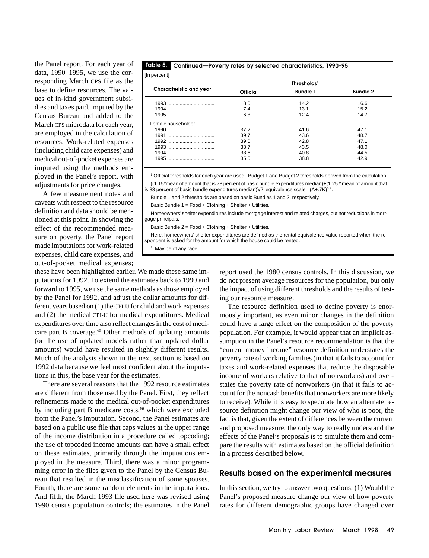the Panel report. For each year of data, 1990–1995, we use the corresponding March CPS file as the base to define resources. The values of in-kind government subsidies and taxes paid, imputed by the Census Bureau and added to the March CPS microdata for each year, are employed in the calculation of resources. Work-related expenses (including child care expenses) and medical out-of-pocket expenses are imputed using the methods employed in the Panel's report, with adjustments for price changes.

A few measurement notes and caveats with respect to the resource definition and data should be mentioned at this point. In showing the effect of the recommended measure on poverty, the Panel report made imputations for work-related expenses, child care expenses, and out-of-pocket medical expenses;

#### Characteristic and year Continued-Poverty rates by selected characteristics, 1990-95 [In percent] Official Bundle 1 Bundle 2 1993 .................................. 8.0 14.2 16.6 1994 .................................. 7.4 13.1 15.2 1995 .................................. 6.8 12.4 14.7 Female householder: 1990 .................................. 37.2 41.6 47.1 1991 .................................. 39.7 43.6 48.7 1992 .................................. 39.0 42.8 47.1 1993 .................................. 38.7 43.5 48.0 1994 .................................. 38.6 40.8 44.5 Table 5. Thresholds<sup>1</sup> Bundle 1

1 Official thresholds for each year are used. Budget 1 and Budget 2 thresholds derived from the calculation: ((1.15\*mean of amount that is 78 percent of basic bundle expenditures median)+(1.25 \* mean of amount that

is 83 percent of basic bundle expenditures median))/2; equivalence scale = $(A+.7K)^{0.7}$ .

1995 .................................. 35.5 38.8 42.9

Bundle 1 and 2 thresholds are based on basic Bundles 1 and 2, respectively.

Basic Bundle 1 = Food + Clothing + Shelter + Utilities.

Homeowners' shelter expenditures include mortgage interest and related charges, but not reductions in mortgage principals.

Basic Bundle 2 = Food + Clothing + Shelter + Utilities.

Here, homeowners' shelter expenditures are defined as the rental equivalence value reported when the respondent is asked for the amount for which the house could be rented.

2 May be of any race.

these have been highlighted earlier. We made these same imputations for 1992. To extend the estimates back to 1990 and forward to 1995, we use the same methods as those employed by the Panel for 1992, and adjust the dollar amounts for different years based on (1) the CPI-U for child and work expenses and (2) the medical CPI-U for medical expenditures. Medical expenditures over time also reflect changes in the cost of medicare part B coverage.<sup>65</sup> Other methods of updating amounts (or the use of updated models rather than updated dollar amounts) would have resulted in slightly different results. Much of the analysis shown in the next section is based on 1992 data because we feel most confident about the imputations in this, the base year for the estimates.

There are several reasons that the 1992 resource estimates are different from those used by the Panel. First, they reflect refinements made to the medical out-of-pocket expenditures by including part B medicare costs,<sup>66</sup> which were excluded from the Panel's imputation. Second, the Panel estimates are based on a public use file that caps values at the upper range of the income distribution in a procedure called topcoding; the use of topcoded income amounts can have a small effect on these estimates, primarily through the imputations employed in the measure. Third, there was a minor programming error in the files given to the Panel by the Census Bureau that resulted in the misclassification of some spouses. Fourth, there are some random elements in the imputations. And fifth, the March 1993 file used here was revised using 1990 census population controls; the estimates in the Panel report used the 1980 census controls. In this discussion, we do not present average resources for the population, but only the impact of using different thresholds and the results of testing our resource measure.

The resource definition used to define poverty is enormously important, as even minor changes in the definition could have a large effect on the composition of the poverty population. For example, it would appear that an implicit assumption in the Panel's resource recommendation is that the "current money income" resource definition understates the poverty rate of working families (in that it fails to account for taxes and work-related expenses that reduce the disposable income of workers relative to that of nonworkers) and overstates the poverty rate of nonworkers (in that it fails to account for the noncash benefits that nonworkers are more likely to receive). While it is easy to speculate how an alternate resource definition might change our view of who is poor, the fact is that, given the extent of differences between the current and proposed measure, the only way to really understand the effects of the Panel's proposals is to simulate them and compare the results with estimates based on the official definition in a process described below.

### Results based on the experimental measures

In this section, we try to answer two questions: (1) Would the Panel's proposed measure change our view of how poverty rates for different demographic groups have changed over

#### Monthly Labor Review March 1998 49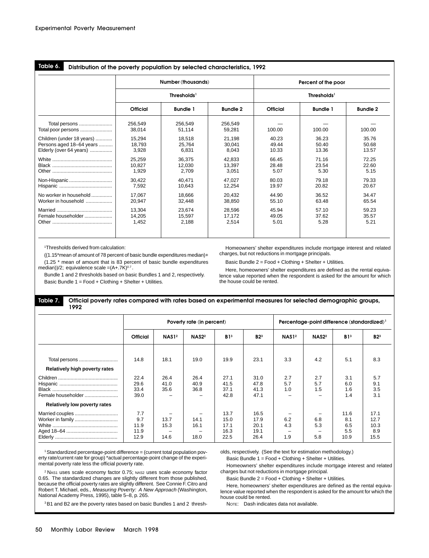| Table 6.<br>Distribution of the poverty population by selected characteristics, 1992 |                         |                    |                   |                         |                     |                 |  |  |  |
|--------------------------------------------------------------------------------------|-------------------------|--------------------|-------------------|-------------------------|---------------------|-----------------|--|--|--|
|                                                                                      |                         | Number (thousands) |                   |                         | Percent of the poor |                 |  |  |  |
|                                                                                      | Thresholds <sup>1</sup> |                    |                   | Thresholds <sup>1</sup> |                     |                 |  |  |  |
|                                                                                      | Official                | <b>Bundle 1</b>    | <b>Bundle 2</b>   | Official                | <b>Bundle 1</b>     | <b>Bundle 2</b> |  |  |  |
| Total persons<br>Total poor persons                                                  | 256.549<br>38.014       | 256.549<br>51,114  | 256.549<br>59.281 | 100.00                  | 100.00              | 100.00          |  |  |  |
| Children (under 18 years)                                                            | 15,294                  | 18,518             | 21,198            | 40.23                   | 36.23               | 35.76           |  |  |  |
| Persons aged 18-64 years                                                             | 18.793                  | 25,764             | 30.041            | 49.44                   | 50.40               | 50.68           |  |  |  |
| Elderly (over 64 years)                                                              | 3,928                   | 6,831              | 8,043             | 10.33                   | 13.36               | 13.57           |  |  |  |
|                                                                                      | 25,259                  | 36.375             | 42.833            | 66.45                   | 71.16               | 72.25           |  |  |  |
|                                                                                      | 10.827                  | 12.030             | 13.397            | 28.48                   | 23.54               | 22.60           |  |  |  |
|                                                                                      | 1,929                   | 2,709              | 3.051             | 5.07                    | 5.30                | 5.15            |  |  |  |
| Non-Hispanic                                                                         | 30.422                  | 40.471             | 47.027            | 80.03                   | 79.18               | 79.33           |  |  |  |
|                                                                                      | 7.592                   | 10.643             | 12.254            | 19.97                   | 20.82               | 20.67           |  |  |  |
| No worker in household                                                               | 17.067                  | 18,666             | 20.432            | 44.90                   | 36.52               | 34.47           |  |  |  |
| Worker in household                                                                  | 20,947                  | 32,448             | 38,850            | 55.10                   | 63.48               | 65.54           |  |  |  |
|                                                                                      | 13,304                  | 23,674             | 28.596            | 45.94                   | 57.10               | 59.23           |  |  |  |
| Female householder                                                                   | 14,205                  | 15,597             | 17.172            | 49.05                   | 37.62               | 35.57           |  |  |  |
|                                                                                      | 1,452                   | 2,188              | 2,514             | 5.01                    | 5.28                | 5.21            |  |  |  |

1Thresholds derived from calculation:

((1.15\*mean of amount of 78 percent of basic bundle expenditures median)+ (1.25 \* mean of amount that is 83 percent of basic bundle expenditures median))/2; equivalence scale = $(A+.7K)^{0.7}$ .

Bundle 1 and 2 thresholds based on basic Bundles 1 and 2, respectively. Basic Bundle 1 = Food + Clothing + Shelter + Utilities.

Homeowners' shelter expenditures include mortgage interest and related charges, but not reductions in mortgage principals.

Basic Bundle 2 = Food + Clothing + Shelter + Utilities.

Here, homeowners' shelter expenditures are defined as the rental equivalence value reported when the respondent is asked for the amount for which the house could be rented.

#### Official poverty rates compared with rates based on experimental measures for selected demographic groups, 1992 Table 7.

|                               | Poverty rate (in percent) |                   |                   |                 | Percentage-point difference (standardized) <sup>1</sup> |                   |                   |                 |                 |
|-------------------------------|---------------------------|-------------------|-------------------|-----------------|---------------------------------------------------------|-------------------|-------------------|-----------------|-----------------|
|                               | <b>Official</b>           | NAS1 <sup>2</sup> | NAS <sub>22</sub> | B1 <sup>3</sup> | B2 <sup>3</sup>                                         | NAS <sub>12</sub> | NAS <sub>22</sub> | B1 <sup>3</sup> | B2 <sup>3</sup> |
|                               |                           |                   |                   |                 |                                                         |                   |                   |                 |                 |
| Total persons                 | 14.8                      | 18.1              | 19.0              | 19.9            | 23.1                                                    | 3.3               | 4.2               | 5.1             | 8.3             |
| Relatively high poverty rates |                           |                   |                   |                 |                                                         |                   |                   |                 |                 |
|                               | 22.4                      | 26.4              | 26.4              | 27.1            | 31.0                                                    | 2.7               | 2.7               | 3.1             | 5.7             |
|                               | 29.6                      | 41.0              | 40.9              | 41.5            | 47.8                                                    | 5.7               | 5.7               | 6.0             | 9.1             |
|                               | 33.4                      | 35.6              | 36.8              | 37.1            | 41.3                                                    | 1.0               | 1.5               | 1.6             | 3.5             |
| Female householder            | 39.0                      |                   |                   | 42.8            | 47.1                                                    |                   |                   | 1.4             | 3.1             |
| Relatively low poverty rates  |                           |                   |                   |                 |                                                         |                   |                   |                 |                 |
| Married couples               | 7.7                       |                   |                   | 13.7            | 16.5                                                    |                   |                   | 11.6            | 17.1            |
| Worker in family              | 9.7                       | 13.7              | 14.1              | 15.0            | 17.9                                                    | 6.2               | 6.8               | 8.1             | 12.7            |
|                               | 11.9                      | 15.3              | 16.1              | 17.1            | 20.1                                                    | 4.3               | 5.3               | 6.5             | 10.3            |
|                               | 11.9                      |                   |                   | 16.3            | 19.1                                                    |                   |                   | 5.5             | 8.9             |
|                               | 12.9                      | 14.6              | 18.0              | 22.5            | 26.4                                                    | 1.9               | 5.8               | 10.9            | 15.5            |

1 Standardized percentage-point difference = (current total population poverty rate/current rate for group) \*actual percentage-point change of the experimental poverty rate less the official poverty rate.

<sup>2</sup> NAS<sub>1</sub> uses scale economy factor 0.75; NAS2 uses scale economy factor 0.65. The standardized changes are slightly different from those published, because the official poverty rates are slightly different. See Connie F. Citro and Robert T. Michael, eds., Measuring Poverty: A New Approach (Washington, National Academy Press, 1995), table 5–8, p. 265.

olds, respectively. (See the text for estimation methodology.)

Basic Bundle 1 = Food + Clothing + Shelter + Utilities.

Homeowners' shelter expenditures include mortgage interest and related charges but not reductions in mortgage principal.

Basic Bundle 2 = Food + Clothing + Shelter + Utilities.

Here, homeowners' shelter expenditures are defined as the rental equivalence value reported when the respondent is asked for the amount for which the house could be rented.

<sup>3</sup>B1 and B2 are the poverty rates based on basic Bundles 1 and 2 thresh-

NOTE: Dash indicates data not available.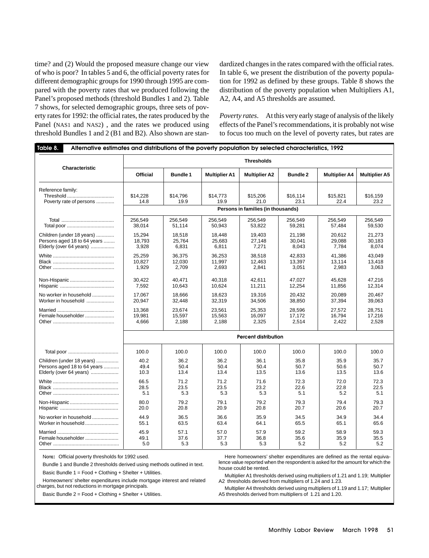time? and (2) Would the proposed measure change our view of who is poor? In tables 5 and 6, the official poverty rates for different demographic groups for 1990 through 1995 are compared with the poverty rates that we produced following the Panel's proposed methods (threshold Bundles 1 and 2). Table 7 shows, for selected demographic groups, three sets of poverty rates for 1992: the official rates, the rates produced by the Panel (NAS1 and NAS2) , and the rates we produced using threshold Bundles 1 and 2 (B1 and B2). Also shown are standardized changes in the rates compared with the official rates. In table 6, we present the distribution of the poverty population for 1992 as defined by these groups. Table 8 shows the distribution of the poverty population when Multipliers A1, A2, A4, and A5 thresholds are assumed.

*Poverty rates*. At this very early stage of analysis of the likely effects of the Panel's recommendations, it is probably not wise to focus too much on the level of poverty rates, but rates are

| Table 8.<br>Alternative estimates and distributions of the poverty population by selected characteristics, 1992 |                 |                 |                      |                                    |                 |                      |                      |  |
|-----------------------------------------------------------------------------------------------------------------|-----------------|-----------------|----------------------|------------------------------------|-----------------|----------------------|----------------------|--|
| <b>Thresholds</b><br><b>Characteristic</b>                                                                      |                 |                 |                      |                                    |                 |                      |                      |  |
|                                                                                                                 | <b>Official</b> | <b>Bundle 1</b> | <b>Multiplier A1</b> | <b>Multiplier A2</b>               | <b>Bundle 2</b> | <b>Multiplier A4</b> | <b>Multiplier A5</b> |  |
| Reference family:                                                                                               |                 |                 |                      |                                    |                 |                      |                      |  |
| Threshold                                                                                                       | \$14,228        | \$14,796        | \$14,773             | \$15,206                           | \$16,114        | \$15,821             | \$16,159             |  |
| Poverty rate of persons                                                                                         | 14.8            | 19.9            | 19.9                 | 21.0                               | 23.1            | 22.4                 | 23.2                 |  |
|                                                                                                                 |                 |                 |                      | Persons in families (in thousands) |                 |                      |                      |  |
|                                                                                                                 | 256.549         | 256,549         | 256,549              | 256,549                            | 256.549         | 256,549              | 256,549              |  |
|                                                                                                                 | 38,014          | 51,114          | 50,943               | 53,822                             | 59,281          | 57,484               | 59,530               |  |
| Children (under 18 years)                                                                                       | 15,294          | 18,518          | 18.448               | 19.403                             | 21,198          | 20.612               | 21,273               |  |
| Persons aged 18 to 64 years                                                                                     | 18,793          | 25,764          | 25,683               | 27,148                             | 30.041          | 29,088               | 30.183               |  |
| Elderly (over 64 years)                                                                                         | 3,928           | 6,831           | 6,811                | 7,271                              | 8,043           | 7,784                | 8,074                |  |
|                                                                                                                 | 25,259          | 36,375          | 36,253               | 38,518                             | 42.833          | 41,386               | 43.049               |  |
|                                                                                                                 | 10,827          | 12,030          | 11,997               | 12,463                             | 13,397          | 13,114               | 13,418               |  |
|                                                                                                                 | 1,929           | 2,709           | 2,693                | 2,841                              | 3,051           | 2,983                | 3,063                |  |
|                                                                                                                 | 30,422          | 40,471          | 40,318               | 42,611                             | 47,027          | 45,628               | 47,216               |  |
|                                                                                                                 | 7,592           | 10,643          | 10.624               | 11,211                             | 12,254          | 11,856               | 12,314               |  |
| No worker in household                                                                                          | 17.067          | 18.666          | 18.623               | 19.316                             | 20.432          | 20.089               | 20.467               |  |
| Worker in household                                                                                             | 20,947          | 32,448          | 32,319               | 34,506                             | 38,850          | 37,394               | 39,063               |  |
|                                                                                                                 | 13,368          | 23,674          | 23,561               | 25,353                             | 28,596          | 27,572               | 28,751               |  |
| Female householder                                                                                              | 19,981          | 15,597          | 15,563               | 16,097                             | 17,172          | 16,794               | 17,216               |  |
|                                                                                                                 | 4.666           | 2.188           | 2.188                | 2,325                              | 2.514           | 2,422                | 2.528                |  |
|                                                                                                                 |                 |                 |                      | <b>Percent distribution</b>        |                 |                      |                      |  |
|                                                                                                                 | 100.0           | 100.0           | 100.0                | 100.0                              | 100.0           | 100.0                | 100.0                |  |
| Children (under 18 years)                                                                                       | 40.2            | 36.2            | 36.2                 | 36.1                               | 35.8            | 35.9                 | 35.7                 |  |
| Persons aged 18 to 64 years                                                                                     | 49.4            | 50.4            | 50.4                 | 50.4                               | 50.7            | 50.6                 | 50.7                 |  |
| Elderly (over 64 years)                                                                                         | 10.3            | 13.4            | 13.4                 | 13.5                               | 13.6            | 13.5                 | 13.6                 |  |
|                                                                                                                 | 66.5            | 71.2            | 71.2                 | 71.6                               | 72.3            | 72.0                 | 72.3                 |  |
|                                                                                                                 | 28.5            | 23.5            | 23.5                 | 23.2                               | 22.6            | 22.8                 | 22.5                 |  |
|                                                                                                                 | 5.1             | 5.3             | 5.3                  | 5.3                                | 5.1             | 5.2                  | 5.1                  |  |
|                                                                                                                 | 80.0            | 79.2            | 79.1                 | 79.2                               | 79.3            | 79.4                 | 79.3                 |  |
|                                                                                                                 | 20.0            | 20.8            | 20.9                 | 20.8                               | 20.7            | 20.6                 | 20.7                 |  |
| No worker in household                                                                                          | 44.9            | 36.5            | 36.6                 | 35.9                               | 34.5            | 34.9                 | 34.4                 |  |
| Worker in household                                                                                             | 55.1            | 63.5            | 63.4                 | 64.1                               | 65.5            | 65.1                 | 65.6                 |  |
|                                                                                                                 | 45.9            | 57.1            | 57.0                 | 57.9                               | 59.2            | 58.9                 | 59.3                 |  |
| Female householder                                                                                              | 49.1            | 37.6            | 37.7                 | 36.8                               | 35.6            | 35.9                 | 35.5                 |  |
|                                                                                                                 | 5.0             | 5.3             | 5.3                  | 5.3                                | 5.2             | 5.2                  | 5.2                  |  |

N**OTE:** Official poverty thresholds for 1992 used.

Bundle 1 and Bundle 2 thresholds derived using methods outlined in text. Basic Bundle 1 = Food + Clothing + Shelter + Utilities.

Here homeowners' shelter expenditures are defined as the rental equivalence value reported when the respondent is asked for the amount for which the house could be rented.

Homeowners' shelter expenditures include mortgage interest and related charges, but not reductions in mortgage principals.

Basic Bundle 2 = Food + Clothing + Shelter + Utilities.

Multiplier A1 thresholds derived using multipliers of 1.21 and 1.19; Multiplier A2 thresholds derived from multipliers of 1.24 and 1.23.

Multiplier A4 thresholds derived using multipliers of 1.19 and 1.17; Multiplier A5 thresholds derived from multipliers of 1.21 and 1.20.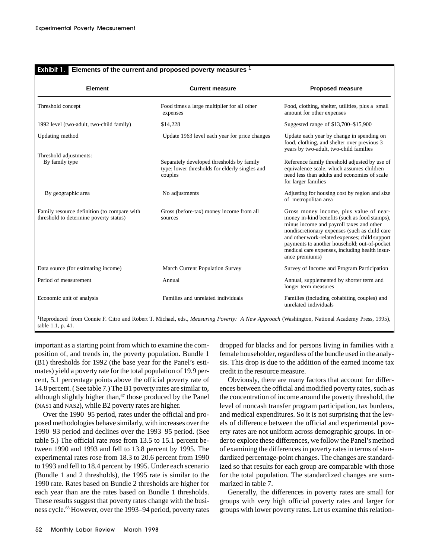| <b>Element</b>                                                                        | <b>Current measure</b>                                                                                 | <b>Proposed measure</b>                                                                                                                                                                                                                                                                                                                                     |
|---------------------------------------------------------------------------------------|--------------------------------------------------------------------------------------------------------|-------------------------------------------------------------------------------------------------------------------------------------------------------------------------------------------------------------------------------------------------------------------------------------------------------------------------------------------------------------|
| Threshold concept                                                                     | Food times a large multiplier for all other<br>expenses                                                | Food, clothing, shelter, utilities, plus a small<br>amount for other expenses                                                                                                                                                                                                                                                                               |
| 1992 level (two-adult, two-child family)                                              | \$14,228                                                                                               | Suggested range of \$13,700–\$15,900                                                                                                                                                                                                                                                                                                                        |
| Updating method                                                                       | Update 1963 level each year for price changes                                                          | Update each year by change in spending on<br>food, clothing, and shelter over previous 3<br>years by two-adult, two-child families                                                                                                                                                                                                                          |
| Threshold adjustments:<br>By family type                                              | Separately developed thresholds by family<br>type; lower thresholds for elderly singles and<br>couples | Reference family threshold adjusted by use of<br>equivalence scale, which assumes children<br>need less than adults and economies of scale<br>for larger families                                                                                                                                                                                           |
| By geographic area                                                                    | No adjustments                                                                                         | Adjusting for housing cost by region and size<br>of metropolitan area                                                                                                                                                                                                                                                                                       |
| Family resource definition (to compare with<br>threshold to determine poverty status) | Gross (before-tax) money income from all<br>sources                                                    | Gross money income, plus value of near-<br>money in-kind benefits (such as food stamps),<br>minus income and payroll taxes and other<br>nondiscretionary expenses (such as child care<br>and other work-related expenses; child support<br>payments to another household; out-of-pocket<br>medical care expenses, including health insur-<br>ance premiums) |
| Data source (for estimating income)                                                   | March Current Population Survey                                                                        | Survey of Income and Program Participation                                                                                                                                                                                                                                                                                                                  |
| Period of measurement                                                                 | Annual                                                                                                 | Annual, supplemented by shorter term and<br>longer term measures                                                                                                                                                                                                                                                                                            |
| Economic unit of analysis                                                             | Families and unrelated individuals                                                                     | Families (including cohabiting couples) and<br>unrelated individuals                                                                                                                                                                                                                                                                                        |

eds., *Measuring Poverty: A New Approach* (Washington, National Ac table 1.1, p. 41.

important as a starting point from which to examine the composition of, and trends in, the poverty population. Bundle 1 (B1) thresholds for 1992 (the base year for the Panel's estimates) yield a poverty rate for the total population of 19.9 percent, 5.1 percentage points above the official poverty rate of 14.8 percent. ( See table 7.) The B1 poverty rates are similar to, although slightly higher than, $67$  those produced by the Panel (NAS1 and NAS2), while B2 poverty rates are higher.

Over the 1990–95 period, rates under the official and proposed methodologies behave similarly, with increases over the 1990–93 period and declines over the 1993–95 period. (See table 5.) The official rate rose from 13.5 to 15.1 percent between 1990 and 1993 and fell to 13.8 percent by 1995. The experimental rates rose from 18.3 to 20.6 percent from 1990 to 1993 and fell to 18.4 percent by 1995. Under each scenario (Bundle 1 and 2 thresholds), the 1995 rate is similar to the 1990 rate. Rates based on Bundle 2 thresholds are higher for each year than are the rates based on Bundle 1 thresholds. These results suggest that poverty rates change with the business cycle.68 However, over the 1993–94 period, poverty rates dropped for blacks and for persons living in families with a female householder, regardless of the bundle used in the analysis. This drop is due to the addition of the earned income tax credit in the resource measure.

Obviously, there are many factors that account for differences between the official and modified poverty rates, such as the concentration of income around the poverty threshold, the level of noncash transfer program participation, tax burdens, and medical expenditures. So it is not surprising that the levels of difference between the official and experimental poverty rates are not uniform across demographic groups. In order to explore these differences, we follow the Panel's method of examining the differences in poverty rates in terms of standardized percentage-point changes. The changes are standardized so that results for each group are comparable with those for the total population. The standardized changes are summarized in table 7.

Generally, the differences in poverty rates are small for groups with very high official poverty rates and larger for groups with lower poverty rates. Let us examine this relation-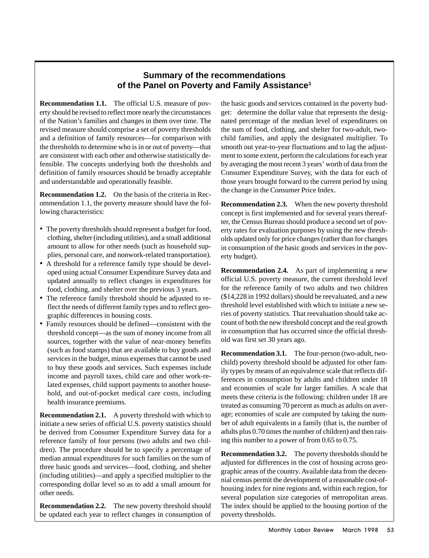### **Summary of the recommendations of the Panel on Poverty and Family Assistance1**

**Recommendation 1.1.** The official U.S. measure of poverty should be revised to reflect more nearly the circumstances of the Nation's families and changes in them over time. The revised measure should comprise a set of poverty thresholds and a definition of family resources—for comparison with the thresholds to determine who is in or out of poverty—that are consistent with each other and otherwise statistically defensible. The concepts underlying both the thresholds and definition of family resources should be broadly acceptable and understandable and operationally feasible.

**Recommendation 1.2.** On the basis of the criteria in Recommendation 1.1, the poverty measure should have the following characteristics:

- The poverty thresholds should represent a budget for food, clothing, shelter (including utilities), and a small additional amount to allow for other needs (such as household supplies, personal care, and nonwork-related transportation).
- A threshold for a reference family type should be developed using actual Consumer Expenditure Survey data and updated annually to reflect changes in expenditures for food, clothing, and shelter over the previous 3 years.
- The reference family threshold should be adjusted to reflect the needs of different family types and to reflect geographic differences in housing costs.
- Family resources should be defined—consistent with the threshold concept—as the sum of money income from all sources, together with the value of near-money benefits (such as food stamps) that are available to buy goods and services in the budget, minus expenses that cannot be used to buy these goods and services. Such expenses include income and payroll taxes, child care and other work-related expenses, child support payments to another household, and out-of-pocket medical care costs, including health insurance premiums.

**Recommendation 2.1.** A poverty threshold with which to initiate a new series of official U.S. poverty statistics should be derived from Consumer Expenditure Survey data for a reference family of four persons (two adults and two children). The procedure should be to specify a percentage of median annual expenditures for such families on the sum of three basic goods and services—food, clothing, and shelter (including utilities)—and apply a specified multiplier to the corresponding dollar level so as to add a small amount for other needs.

**Recommendation 2.2.** The new poverty threshold should be updated each year to reflect changes in consumption of the basic goods and services contained in the poverty budget: determine the dollar value that represents the designated percentage of the median level of expenditures on the sum of food, clothing, and shelter for two-adult, twochild families, and apply the designated multiplier. To smooth out year-to-year fluctuations and to lag the adjustment to some extent, perform the calculations for each year by averaging the most recent 3 years' worth of data from the Consumer Expenditure Survey, with the data for each of those years brought forward to the current period by using the change in the Consumer Price Index.

**Recommendation 2.3.** When the new poverty threshold concept is first implemented and for several years thereafter, the Census Bureau should produce a second set of poverty rates for evaluation purposes by using the new thresholds updated only for price changes (rather than for changes in consumption of the basic goods and services in the poverty budget).

**Recommendation 2.4.** As part of implementing a new official U.S. poverty measure, the current threshold level for the reference family of two adults and two children (\$14,228 in 1992 dollars) should be reevaluated, and a new threshold level established with which to initiate a new series of poverty statistics. That reevaluation should take account of both the new threshold concept and the real growth in consumption that has occurred since the official threshold was first set 30 years ago.

**Recommendation 3.1.** The four-person (two-adult, twochild) poverty threshold should be adjusted for other family types by means of an equivalence scale that reflects differences in consumption by adults and children under 18 and economies of scale for larger families. A scale that meets these criteria is the following: children under 18 are treated as consuming 70 percent as much as adults on average; economies of scale are computed by taking the number of adult equivalents in a family (that is, the number of adults plus 0.70 times the number of children) and then raising this number to a power of from 0.65 to 0.75.

**Recommendation 3.2.** The poverty thresholds should be adjusted for differences in the cost of housing across geographic areas of the country. Available data from the decennial census permit the development of a reasonable cost-ofhousing index for nine regions and, within each region, for several population size categories of metropolitan areas. The index should be applied to the housing portion of the poverty thresholds.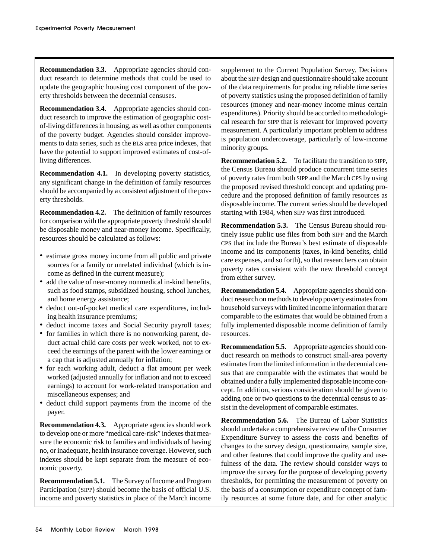**Recommendation 3.3.** Appropriate agencies should conduct research to determine methods that could be used to update the geographic housing cost component of the poverty thresholds between the decennial censuses.

**Recommendation 3.4.** Appropriate agencies should conduct research to improve the estimation of geographic costof-living differences in housing, as well as other components of the poverty budget. Agencies should consider improvements to data series, such as the BLS area price indexes, that have the potential to support improved estimates of cost-ofliving differences.

**Recommendation 4.1.** In developing poverty statistics, any significant change in the definition of family resources should be accompanied by a consistent adjustment of the poverty thresholds.

**Recommendation 4.2.** The definition of family resources for comparison with the appropriate poverty threshold should be disposable money and near-money income. Specifically, resources should be calculated as follows:

- estimate gross money income from all public and private sources for a family or unrelated individual (which is income as defined in the current measure);
- add the value of near-money nonmedical in-kind benefits, such as food stamps, subsidized housing, school lunches, and home energy assistance;
- deduct out-of-pocket medical care expenditures, including health insurance premiums;
- deduct income taxes and Social Security payroll taxes;
- for families in which there is no nonworking parent, deduct actual child care costs per week worked, not to exceed the earnings of the parent with the lower earnings or a cap that is adjusted annually for inflation;
- for each working adult, deduct a flat amount per week worked (adjusted annually for inflation and not to exceed earnings) to account for work-related transportation and miscellaneous expenses; and
- deduct child support payments from the income of the payer.

**Recommendation 4.3.** Appropriate agencies should work to develop one or more "medical care-risk" indexes that measure the economic risk to families and individuals of having no, or inadequate, health insurance coverage. However, such indexes should be kept separate from the measure of economic poverty.

**Recommendation 5.1.** The Survey of Income and Program Participation (SIPP) should become the basis of official U.S. income and poverty statistics in place of the March income supplement to the Current Population Survey. Decisions about the SIPP design and questionnaire should take account of the data requirements for producing reliable time series of poverty statistics using the proposed definition of family resources (money and near-money income minus certain expenditures). Priority should be accorded to methodological research for SIPP that is relevant for improved poverty measurement. A particularly important problem to address is population undercoverage, particularly of low-income minority groups.

**Recommendation 5.2.** To facilitate the transition to SIPP, the Census Bureau should produce concurrent time series of poverty rates from both SIPP and the March CPS by using the proposed revised threshold concept and updating procedure and the proposed definition of family resources as disposable income. The current series should be developed starting with 1984, when SIPP was first introduced.

**Recommendation 5.3.** The Census Bureau should routinely issue public use files from both SIPP and the March CPS that include the Bureau's best estimate of disposable income and its components (taxes, in-kind benefits, child care expenses, and so forth), so that researchers can obtain poverty rates consistent with the new threshold concept from either survey.

**Recommendation 5.4.** Appropriate agencies should conduct research on methods to develop poverty estimates from household surveys with limited income information that are comparable to the estimates that would be obtained from a fully implemented disposable income definition of family resources.

**Recommendation 5.5.** Appropriate agencies should conduct research on methods to construct small-area poverty estimates from the limited information in the decennial census that are comparable with the estimates that would be obtained under a fully implemented disposable income concept. In addition, serious consideration should be given to adding one or two questions to the decennial census to assist in the development of comparable estimates.

**Recommendation 5.6.** The Bureau of Labor Statistics should undertake a comprehensive review of the Consumer Expenditure Survey to assess the costs and benefits of changes to the survey design, questionnaire, sample size, and other features that could improve the quality and usefulness of the data. The review should consider ways to improve the survey for the purpose of developing poverty thresholds, for permitting the measurement of poverty on the basis of a consumption or expenditure concept of family resources at some future date, and for other analytic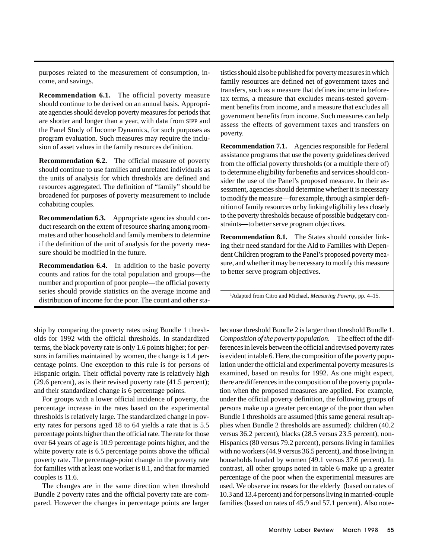purposes related to the measurement of consumption, income, and savings.

**Recommendation 6.1.** The official poverty measure should continue to be derived on an annual basis. Appropriate agencies should develop poverty measures for periods that are shorter and longer than a year, with data from SIPP and the Panel Study of Income Dynamics, for such purposes as program evaluation. Such measures may require the inclusion of asset values in the family resources definition.

**Recommendation 6.2.** The official measure of poverty should continue to use families and unrelated individuals as the units of analysis for which thresholds are defined and resources aggregated. The definition of "family" should be broadened for purposes of poverty measurement to include cohabiting couples.

**Recommendation 6.3.** Appropriate agencies should conduct research on the extent of resource sharing among roommates and other household and family members to determine if the definition of the unit of analysis for the poverty measure should be modified in the future.

**Recommendation 6.4.** In addition to the basic poverty counts and ratios for the total population and groups—the number and proportion of poor people—the official poverty series should provide statistics on the average income and distribution of income for the poor. The count and other statistics should also be published for poverty measures in which family resources are defined net of government taxes and transfers, such as a measure that defines income in beforetax terms, a measure that excludes means-tested government benefits from income, and a measure that excludes all government benefits from income. Such measures can help assess the effects of government taxes and transfers on poverty.

**Recommendation 7.1.** Agencies responsible for Federal assistance programs that use the poverty guidelines derived from the official poverty thresholds (or a multiple there of) to determine eligibility for benefits and services should consider the use of the Panel's proposed measure. In their assessment, agencies should determine whether it is necessary to modify the measure—for example, through a simpler definition of family resources or by linking eligibility less closely to the poverty thresholds because of possible budgetary constraints—to better serve program objectives.

**Recommendation 8.1.** The States should consider linking their need standard for the Aid to Families with Dependent Children program to the Panel's proposed poverty measure, and whether it may be necessary to modify this measure to better serve program objectives.

1 Adapted from Citro and Michael, *Measuring Poverty*, pp. 4–15.

ship by comparing the poverty rates using Bundle 1 thresholds for 1992 with the official thresholds. In standardized terms, the black poverty rate is only 1.6 points higher; for persons in families maintained by women, the change is 1.4 percentage points. One exception to this rule is for persons of Hispanic origin. Their official poverty rate is relatively high (29.6 percent), as is their revised poverty rate (41.5 percent); and their standardized change is 6 percentage points.

For groups with a lower official incidence of poverty, the percentage increase in the rates based on the experimental thresholds is relatively large. The standardized change in poverty rates for persons aged 18 to 64 yields a rate that is 5.5 percentage points higher than the official rate. The rate for those over 64 years of age is 10.9 percentage points higher, and the white poverty rate is 6.5 percentage points above the official poverty rate. The percentage-point change in the poverty rate for families with at least one worker is 8.1, and that for married couples is 11.6.

The changes are in the same direction when threshold Bundle 2 poverty rates and the official poverty rate are compared. However the changes in percentage points are larger because threshold Bundle 2 is larger than threshold Bundle 1. *Composition of the poverty population*. The effect of the differences in levels between the official and revised poverty rates is evident in table 6. Here, the composition of the poverty population under the official and experimental poverty measures is examined, based on results for 1992. As one might expect, there are differences in the composition of the poverty population when the proposed measures are applied. For example, under the official poverty definition, the following groups of persons make up a greater percentage of the poor than when Bundle 1 thresholds are assumed (this same general result applies when Bundle 2 thresholds are assumed): children (40.2 versus 36.2 percent), blacks (28.5 versus 23.5 percent), non-Hispanics (80 versus 79.2 percent), persons living in families with no workers (44.9 versus 36.5 percent), and those living in households headed by women (49.1 versus 37.6 percent). In contrast, all other groups noted in table 6 make up a greater percentage of the poor when the experimental measures are used. We observe increases for the elderly (based on rates of 10.3 and 13.4 percent) and for persons living in married-couple families (based on rates of 45.9 and 57.1 percent). Also note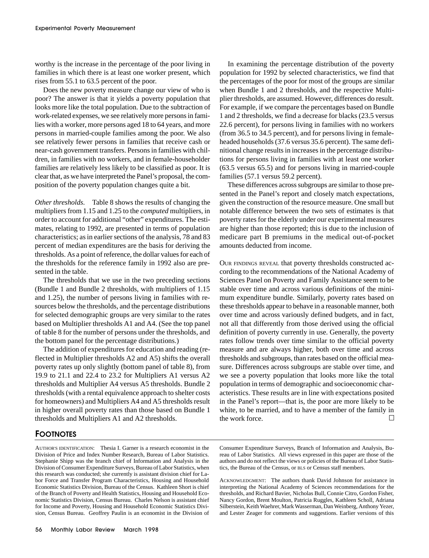worthy is the increase in the percentage of the poor living in families in which there is at least one worker present, which rises from 55.1 to 63.5 percent of the poor.

Does the new poverty measure change our view of who is poor? The answer is that it yields a poverty population that looks more like the total population. Due to the subtraction of work-related expenses, we see relatively more persons in families with a worker, more persons aged 18 to 64 years, and more persons in married-couple families among the poor. We also see relatively fewer persons in families that receive cash or near-cash government transfers. Persons in families with children, in families with no workers, and in female-householder families are relatively less likely to be classified as poor. It is clear that, as we have interpreted the Panel's proposal, the composition of the poverty population changes quite a bit.

*Other thresholds.* Table 8 shows the results of changing the multipliers from 1.15 and 1.25 to the *computed* multipliers, in order to account for additional "other" expenditures. The estimates, relating to 1992, are presented in terms of population characteristics; as in earlier sections of the analysis, 78 and 83 percent of median expenditures are the basis for deriving the thresholds. As a point of reference, the dollar values for each of the thresholds for the reference family in 1992 also are presented in the table.

The thresholds that we use in the two preceding sections (Bundle 1 and Bundle 2 thresholds, with multipliers of 1.15 and 1.25), the number of persons living in families with resources below the thresholds, and the percentage distributions for selected demographic groups are very similar to the rates based on Multiplier thresholds A1 and A4. (See the top panel of table 8 for the number of persons under the thresholds, and the bottom panel for the percentage distributions.)

The addition of expenditures for education and reading (reflected in Multiplier thresholds A2 and A5) shifts the overall poverty rates up only slightly (bottom panel of table 8), from 19.9 to 21.1 and 22.4 to 23.2 for Multipliers A1 versus A2 thresholds and Multiplier A4 versus A5 thresholds. Bundle 2 thresholds (with a rental equivalence approach to shelter costs for homeowners) and Multipliers A4 and A5 thresholds result in higher overall poverty rates than those based on Bundle 1 thresholds and Multipliers A1 and A2 thresholds.

In examining the percentage distribution of the poverty population for 1992 by selected characteristics, we find that the percentages of the poor for most of the groups are similar when Bundle 1 and 2 thresholds, and the respective Multiplier thresholds, are assumed. However, differences do result. For example, if we compare the percentages based on Bundle 1 and 2 thresholds, we find a decrease for blacks (23.5 versus 22.6 percent), for persons living in families with no workers (from 36.5 to 34.5 percent), and for persons living in femaleheaded households (37.6 versus 35.6 percent). The same definitional change results in increases in the percentage distributions for persons living in families with at least one worker (63.5 versus 65.5) and for persons living in married-couple families (57.1 versus 59.2 percent).

These differences across subgroups are similar to those presented in the Panel's report and closely match expectations, given the construction of the resource measure. One small but notable difference between the two sets of estimates is that poverty rates for the elderly under our experimental measures are higher than those reported; this is due to the inclusion of medicare part B premiums in the medical out-of-pocket amounts deducted from income.

OUR FINDINGS REVEAL that poverty thresholds constructed according to the recommendations of the National Academy of Sciences Panel on Poverty and Family Assistance seem to be stable over time and across various definitions of the minimum expenditure bundle. Similarly, poverty rates based on these thresholds appear to behave in a reasonable manner, both over time and across variously defined budgets, and in fact, not all that differently from those derived using the official definition of poverty currently in use. Generally, the poverty rates follow trends over time similar to the official poverty measure and are always higher, both over time and across thresholds and subgroups, than rates based on the official measure. Differences across subgroups are stable over time, and we see a poverty population that looks more like the total population in terms of demographic and socioeconomic characteristics. These results are in line with expectations posited in the Panel's report—that is, the poor are more likely to be white, to be married, and to have a member of the family in  $\Box$ the work force.

### **FOOTNOTES**

AUTHOR'S IDENTIFICATION: Thesia I. Garner is a research economist in the Division of Price and Index Number Research, Bureau of Labor Statistics. Stephanie Shipp was the branch chief of Information and Analysis in the Division of Consumer Expenditure Surveys, Bureau of Labor Statistics, when this research was conducted; she currently is assistant division chief for Labor Force and Transfer Program Characteristics, Housing and Household Economic Statistics Division, Bureau of the Census. Kathleen Short is chief of the Branch of Poverty and Health Statistics, Housing and Household Economic Statistics Division, Census Bureau. Charles Nelson is assistant chief for Income and Poverty, Housing and Household Economic Statistics Division, Census Bureau. Geoffrey Paulin is an economist in the Division of

Consumer Expenditure Surveys, Branch of Information and Analysis, Bureau of Labor Statistics. All views expressed in this paper are those of the authors and do not reflect the views or policies of the Bureau of Labor Statistics, the Bureau of the Census, or BLS or Census staff members.

ACKNOWLEDGMENT: The authors thank David Johnson for assistance in interpreting the National Academy of Sciences recommendations for the thresholds, and Richard Bavier, Nicholas Bull, Connie Citro, Gordon Fisher, Nancy Gordon, Brent Moulton, Patricia Ruggles, Kathleen Scholl, Adriana Silberstein, Keith Waehrer, Mark Wasserman, Dan Weinberg, Anthony Yezer, and Lester Zeager for comments and suggestions. Earlier versions of this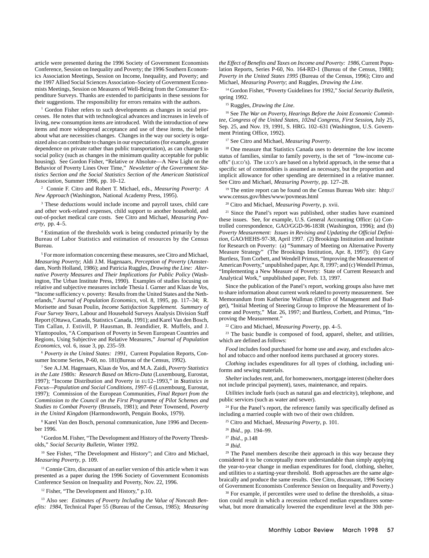article were presented during the 1996 Society of Government Economists Conference, Session on Inequality and Poverty; the 1996 Southern Economics Association Meetings, Session on Income, Inequality, and Poverty; and the 1997 Allied Social Sciences Association–Society of Government Economists Meetings, Session on Measures of Well-Being from the Consumer Expenditure Surveys. Thanks are extended to participants in these sessions for their suggestions. The responsibility for errors remains with the authors.

<sup>1</sup> Gordon Fisher refers to such developments as changes in social processes. He notes that with technological advances and increases in levels of living, new consumption items are introduced. With the introduction of new items and more widespread acceptance and use of these items, the belief about what are necessities changes. Changes in the way our society is organized also can contribute to changes in our expectations (for example, greater dependence on private rather than public transportation), as can changes in social policy (such as changes in the minimum quality acceptable for public housing). See Gordon Fisher, "Relative or Absolute—A New Light on the Behavior of Poverty Lines Over Time," *Newsletter of the Government Statistics Section and the Social Statistics Section of the American Statistical Association*, Summer 1996, pp. 10–12.

2 Connie F. Citro and Robert T. Michael, eds., *Measuring Poverty: A New Approach* (Washington, National Academy Press, 1995).

<sup>3</sup> These deductions would include income and payroll taxes, child care and other work-related expenses, child support to another household, and out-of-pocket medical care costs. See Citro and Michael, *Measuring Poverty*, pp. 4–5.

4 Estimation of the thresholds work is being conducted primarily by the Bureau of Labor Statistics and estimation of resources by the Census Bureau.

<sup>5</sup> For more information concerning these measures, see Citro and Michael, *Measuring Poverty*; Aldi J.M. Hagenaars, *Perception of Poverty* (Amsterdam, North Holland, 1986); and Patricia Ruggles, *Drawing the Line: Alternative Poverty Measures and Their Implications for Public Policy* (Washington, The Urban Institute Press, 1990). Examples of studies focusing on relative and subjective measures include Thesia I. Garner and Klaas de Vos, "Income sufficiency v. poverty: Results from the United States and the Netherlands," *Journal of Population Economics*, vol. 8, 1995, pp. 117–34; R. Morisette and Susan Poulin, *Income Satisfaction Supplement. Summary of Four Survey Years,* Labour and Household Surveys Analysis Division Staff Report (Ottawa, Canada, Statistics Canada, 1991); and Karel Van den Bosch, Tim Callan, J. Estivill, P. Hausman, B. Jeandidier, R. Muffels, and J. Yfantopoulos, "A Comparison of Poverty in Seven European Countries and Regions, Using Subjective and Relative Measures," *Journal of Population Economics*, vol. 6, issue 3, pp. 235–59.

<sup>6</sup> *Poverty in the United States: 1991,* Current Population Reports, Consumer Income Series, P-60, no. 181(Bureau of the Census, 1992).

7 See A.J.M. Hagenaars, Klaas de Vos, and M.A. Zaidi, *Poverty Statistics in the Late 1980s: Research Based on Micro-Data* (Luxembourg, Eurostat, 1997); "Income Distribution and Poverty in EU12–1993," in *Statistics in Focus—Population and Social Conditions, 1997–6* (Luxembourg, Eurostat, 1997); Commission of the European Communities, *Final Report from the Commission to the Council on the First Programme of Pilot Schemes and Studies to Combat Poverty* (Brussels, 1981); and Peter Townsend, *Poverty in the United Kingdom* (Harmondsworth, Penguin Books, 1979).

8 Karel Van den Bosch, personal communication, June 1996 and December 1996.

9 Gordon M. Fisher, "The Development and History of the Poverty Thresholds," *Social Security Bulletin*, Winter 1992.

<sup>10</sup> See Fisher, "The Development and History"; and Citro and Michael, *Measuring Poverty*, p. 109.

<sup>11</sup> Connie Citro, discussant of an earlier version of this article when it was presented as a paper during the 1996 Society of Government Economists Conference Session on Inequality and Poverty, Nov. 22, 1996.

12 Fisher, "The Development and History," p.10.

13 Also see: *Estimates of Poverty Including the Value of Noncash Benefits: 1984,* Technical Paper 55 (Bureau of the Census, 1985); *Measuring* *the Effect of Benefits and Taxes on Income and Poverty: 1986*, Current Population Reports, Series P-60, No. 164-RD-1 (Bureau of the Census, 1988); *Poverty in the United States 1995* (Bureau of the Census, 1996); Citro and Michael, *Measuring Poverty*; and Ruggles, *Drawing the Line*.

<sup>14</sup> Gordon Fisher, "Poverty Guidelines for 1992," Social Security Bulletin, spring 1992.

15 Ruggles, *Drawing the Line*.

16 See *The War on Poverty, Hearings Before the Joint Economic Committee, Congress of the United States, 102nd Congress, First Session,* July 25, Sep. 25, and Nov. 19, 1991, S. HRG. 102–631 (Washington, U.S. Government Printing Office, 1992).

17 See Citro and Michael, *Measuring Poverty*.

<sup>18</sup> One measure that Statistics Canada uses to determine the low income status of families, similar to family poverty, is the set of "low-income cutoffs" (LICO's). The LICO's are based on a hybrid approach, in the sense that a specific set of commodities is assumed as necessary, but the proportion and implicit allowance for other spending are determined in a relative manner. See Citro and Michael, *Measuring Poverty*, pp. 127–28.

19 The entire report can be found on the Census Bureau Web site: hhtp:// www.census.gov/hhes/www/povmeas.html

20 Citro and Michael, *Measuring Poverty*, p. xvii.

<sup>21</sup> Since the Panel's report was published, other studies have examined these issues. See, for example, U.S. General Accounting Office: (a) Controlled correspondence, GAO/GGD-96-183R (Washington, 1996); and (b) *Poverty Measurement: Issues in Revising and Updating the Official Definition*, GAO/HEHS-97-38, April 1997. (2) Brookings Institution and Institute for Research on Poverty: (a) "Summary of Meeting on Alternative Poverty Measure Strategy" (The Brookings Institution, Apr. 8, 1997); (b) Gary Burtless, Tom Corbett, and Wendell Primus, "Improving the Measurement of American Poverty," unpublished paper, Apr. 8, 1997; and (c) Wendell Primus, "Implementing a New Measure of Poverty: State of Current Research and Analytical Work," unpublished paper, Feb. 13, 1997.

Since the publication of the Panel's report, working groups also have met to share information about current work related to poverty measurement. See Memorandum from Katherine Wallman (Office of Management and Budget), "Initial Meeting of Steering Group to Improve the Measurement of Income and Poverty," Mar. 26, 1997; and Burtless, Corbett, and Primus, "Improving the Measurement."

22 Citro and Michael, *Measuring Poverty*, pp. 4–5.

<sup>23</sup> The basic bundle is composed of food, apparel, shelter, and utilities, which are defined as follows:

*Food* includes food purchased for home use and away, and excludes alcohol and tobacco and other nonfood items purchased at grocery stores.

*Clothing* includes expenditures for all types of clothing, including uniforms and sewing materials.

*Shelter* includes rent, and, for homeowners, mortgage interest (shelter does not include principal payment), taxes, maintenance, and repairs.

*Utilities* include fuels (such as natural gas and electricity), telephone, and public services (such as water and sewer).

<sup>24</sup> For the Panel's report, the reference family was specifically defined as including a married couple with two of their own children.

25 Citro and Michael, *Measuring Poverty*, p. 101.

<sup>29</sup> The Panel members describe their approach in this way because they considered it to be conceptually more understandable than simply applying the year-to-year change in median expenditures for food, clothing, shelter, and utilities to a starting-year threshold. Both approaches are the same algebraically and produce the same results. (See Citro, discussant, 1996 Society of Government Economists Conference Session on Inequality and Poverty.)

<sup>30</sup> For example, if percentiles were used to define the thresholds, a situation could result in which a recession reduced median expenditures somewhat, but more dramatically lowered the expenditure level at the 30th per-

<sup>26</sup> *Ibid*., pp. 194–99.

<sup>27</sup> *Ibid*., p.148

<sup>28</sup> *Ibid*.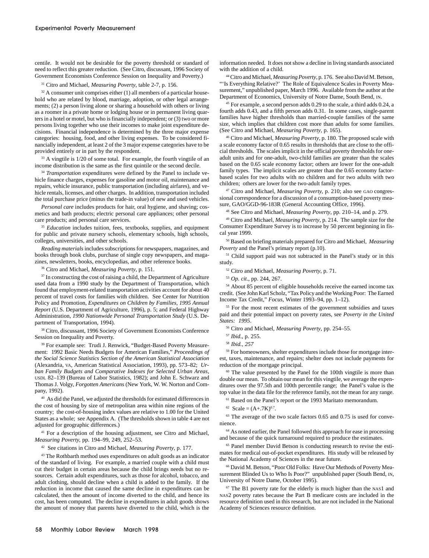centile. It would not be desirable for the poverty threshold or standard of need to reflect this greater reduction. (See Citro, discussant, 1996 Society of Government Economists Conference Session on Inequality and Poverty.)

#### 31 Citro and Michael, *Measuring Poverty*, table 2-7, p. 156.

 $32$  A consumer unit comprises either (1) all members of a particular household who are related by blood, marriage, adoption, or other legal arrangements; (2) a person living alone or sharing a household with others or living as a roomer in a private home or lodging house or in permanent living quarters in a hotel or motel, but who is financially independent; or (3) two or more persons living together who use their incomes to make joint expenditure decisions. Financial independence is determined by the three major expense categories: housing, food, and other living expenses. To be considered financially independent, at least 2 of the 3 major expense categories have to be provided entirely or in part by the respondent.

<sup>33</sup> A vingtile is 1/20 of some total. For example, the fourth vingtile of an income distribution is the same as the first quintile or the second decile.

<sup>34</sup> *Transportation* expenditures were defined by the Panel to include vehicle finance charges, expenses for gasoline and motor oil, maintenance and repairs, vehicle insurance, public transportation (including airfares), and vehicle rentals, licenses, and other charges. In addition, transportation included the total purchase price (minus the trade-in value) of new and used vehicles.

*Personal care* includes products for hair, oral hygiene, and shaving; cosmetics and bath products; electric personal care appliances; other personal care products; and personal care services.

<sup>35</sup> *Education* includes tuition, fees, textbooks, supplies, and equipment for public and private nursery schools, elementary schools, high schools, colleges, universities, and other schools.

*Reading materials* includes subscriptions for newspapers, magazines, and books through book clubs, purchase of single copy newspapers, and magazines, newsletters, books, encyclopedias, and other reference books.

36 Citro and Michael, *Measuring Poverty*, p. 151.

<sup>37</sup> In constructing the cost of raising a child, the Department of Agriculture used data from a 1990 study by the Department of Transportation, which found that employment-related transportation activities account for about 40 percent of travel costs for families with children. See Center for Nutrition Policy and Promotion, *Expenditures on Children by Families, 1995 Annual Report* (U.S. Department of Agriculture, 1996), p. 5; and Federal Highway Administration, *1990 Nationwide Personal Transportation Study* (U.S. Department of Transportation, 1994).

38 Citro, discussant, 1996 Society of Government Economists Conference Session on Inequality and Poverty.

<sup>39</sup> For example see: Trudi J. Renwick, "Budget-Based Poverty Measurement: 1992 Basic Needs Budgets for American Families," *Proceedings of the Social Science Statistics Section of the American Statistical Association* (Alexandria, VA, American Statistical Association, 1993), pp. 573–82; *Urban Family Budgets and Comparative Indexes for Selected Urban Areas,* USDL 82–139 (Bureau of Labor Statistics, 1982); and John E. Schwarz and Thomas J. Volgy, *Forgotten Americans* (New York, W. W. Norton and Company, 1992).

40 As did the Panel, we adjusted the thresholds for estimated differences in the cost of housing by size of metropolitan area within nine regions of the country; the cost-of-housing index values are relative to 1.00 for the United States as a whole; see Appendix A. (The thresholds shown in table 4 are not adjusted for geographic differences.)

<sup>41</sup> For a description of the housing adjustment, see Citro and Michael, *Measuring Poverty,* pp. 194–99, 249, 252–53.

42 See citations in Citro and Michael, *Measuring Poverty*, p. 177.

43 The Rothbarth method uses expenditures on adult goods as an indicator of the standard of living. For example, a married couple with a child must cut their budget in certain areas because the child brings needs but no resources. Certain adult expenditures, such as those for alcohol, tobacco, and adult clothing, should decline when a child is added to the family. If the reduction in income that caused the same decline in expenditures can be calculated, then the amount of income diverted to the child, and hence its cost, has been computed. The decline in expenditures in adult goods shows the amount of money that parents have diverted to the child, which is the information needed. It does not show a decline in living standards associated with the addition of a child.

44 Citro and Michael, *Measuring Poverty*, p. 176. See also David M. Betson, "'Is Everything Relative?' The Role of Equivalence Scales in Poverty Measurement," unpublished paper, March 1996. Available from the author at the Department of Economics, University of Notre Dame, South Bend, IN.

45 For example, a second person adds 0.29 to the scale, a third adds 0.24, a fourth adds 0.43, and a fifth person adds 0.31. In some cases, single-parent families have higher thresholds than married-couple families of the same size, which implies that children cost more than adults for some families. (See Citro and Michael, *Measuring Poverty*, p. 165).

46 Citro and Michael, *Measuring Poverty*, p. 180. The proposed scale with a scale economy factor of 0.65 results in thresholds that are close to the official thresholds. The scales implicit in the official poverty thresholds for oneadult units and for one-adult, two-child families are greater than the scales based on the 0.65 scale economy factor; others are lower for the one-adult family types. The implicit scales are greater than the 0.65 economy factorbased scales for two adults with no children and for two adults with two children; others are lower for the two-adult family types.

47 Citro and Michael, *Measuring Poverty*, p. 210; also see GAO congressional correspondence for a discussion of a consumption-based poverty measure, GAO/GGD-96-183R (General Accounting Office, 1996).

48 See Citro and Michael, *Measuring Poverty*, pp. 210–14, and p. 279.

49 Citro and Michael, *Measuring Poverty*, p. 214. The sample size for the Consumer Expenditure Survey is to increase by 50 percent beginning in fiscal year 1999.

50 Based on briefing materials prepared for Citro and Michael, *Measuring Poverty* and the Panel's primary report (p.10).

<sup>51</sup> Child support paid was not subtracted in the Panel's study or in this study.

52 Citro and Michael, *Measuring Poverty*, p. 71.

<sup>53</sup> *Op. cit*., pp. 244, 267.

54 About 85 percent of eligible households receive the earned income tax credit. (See John Karl Scholz, "Tax Policy and the Working Poor: The Earned Income Tax Credit," *Focus*, Winter 1993–94, pp. 1–12).

<sup>55</sup> For the most recent estimates of the government subsidies and taxes paid and their potential impact on poverty rates, see *Poverty in the United States: 1995*.

56 Citro and Michael, *Measuring Poverty*, pp. 254–55.

<sup>57</sup> *Ibid*., p. 255.

<sup>58</sup> *Ibid., 257*

<sup>59</sup> For homeowners, shelter expenditures include those for mortgage interest, taxes, maintenance, and repairs; shelter does not include payments for reduction of the mortgage principal.

<sup>60</sup> The value presented by the Panel for the 100th vingtile is more than double our mean. To obtain our mean for this vingtile, we average the expenditures over the 97.5th and 100th percentile range; the Panel's value is the top value in the data file for the reference family, not the mean for any range.

61 Based on the Panel's report or the 1993 Maritato memorandum.

 $62$  Scale =  $(A+.7K)^{0.7}$ .

<sup>63</sup> The average of the two scale factors 0.65 and 0.75 is used for convenience.

64 As noted earlier, the Panel followed this approach for ease in processing and because of the quick turnaround required to produce the estimates.

65 Panel member David Betson is conducting research to revise the estimates for medical out-of-pocket expenditures. His study will be released by the National Academy of Sciences in the near future.

66 David M. Betson, "Poor Old Folks: Have Our Methods of Poverty Measurement Blinded Us to Who Is Poor?" unpublished paper (South Bend, IN, University of Notre Dame, October 1995).

 $67$  The B1 poverty rate for the elderly is much higher than the NAS1 and NAS2 poverty rates because the Part B medicare costs are included in the resource definition used in this research, but are not included in the National Academy of Sciences resource definition.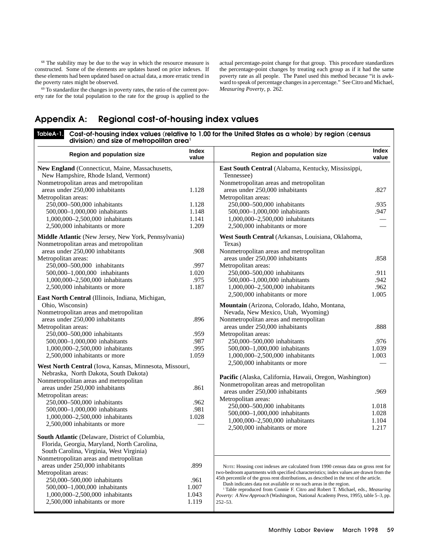<sup>68</sup> The stability may be due to the way in which the resource measure is constructed. Some of the elements are updates based on price indexes. If these elements had been updated based on actual data, a more erratic trend in the poverty rates might be observed.

69 To standardize the changes in poverty rates, the ratio of the current poverty rate for the total population to the rate for the group is applied to the actual percentage-point change for that group. This procedure standardizes the percentage-point changes by treating each group as if it had the same poverty rate as all people. The Panel used this method because "it is awkward to speak of percentage changes in a percentage." See Citro and Michael, *Measuring Poverty*, p. 262.

### Appendix A: Regional cost-of-housing index values

#### Cost-of-housing index values (relative to 1.00 for the United States as a whole) by region (census division) and size of metropolitan area $^{\scriptscriptstyle \rm I}$ TableA-1.

| Region and population size                                                               | Index<br>value | <b>Region and population size</b>                                                                                                                              | Index<br>value |
|------------------------------------------------------------------------------------------|----------------|----------------------------------------------------------------------------------------------------------------------------------------------------------------|----------------|
| New England (Connecticut, Maine, Massachusetts,<br>New Hampshire, Rhode Island, Vermont) |                | East South Central (Alabama, Kentucky, Mississippi,<br>Tennessee)                                                                                              |                |
| Nonmetropolitan areas and metropolitan                                                   |                | Nonmetropolitan areas and metropolitan                                                                                                                         |                |
| areas under 250,000 inhabitants                                                          | 1.128          | areas under 250,000 inhabitants                                                                                                                                | .827           |
| Metropolitan areas:                                                                      |                | Metropolitan areas:                                                                                                                                            |                |
| 250,000-500,000 inhabitants                                                              | 1.128          | 250,000-500,000 inhabitants                                                                                                                                    | .935           |
| 500,000-1,000,000 inhabitants                                                            | 1.148          | 500,000-1,000,000 inhabitants                                                                                                                                  | .947           |
| 1,000,000-2,500,000 inhabitants                                                          | 1.141          | 1,000,000-2,500,000 inhabitants                                                                                                                                |                |
| 2,500,000 inhabitants or more                                                            | 1.209          | 2,500,000 inhabitants or more                                                                                                                                  |                |
| <b>Middle Atlantic</b> (New Jersey, New York, Pennsylvania)                              |                | West South Central (Arkansas, Louisiana, Oklahoma,                                                                                                             |                |
| Nonmetropolitan areas and metropolitan                                                   |                | Texas)                                                                                                                                                         |                |
| areas under 250,000 inhabitants                                                          | .908           | Nonmetropolitan areas and metropolitan                                                                                                                         |                |
| Metropolitan areas:                                                                      |                | areas under 250,000 inhabitants                                                                                                                                | .858           |
| 250,000-500,000 inhabitants                                                              | .997           | Metropolitan areas:                                                                                                                                            |                |
| 500,000-1,000,000 inhabitants                                                            | 1.020          | 250,000-500,000 inhabitants                                                                                                                                    | .911           |
| 1,000,000-2,500,000 inhabitants                                                          | .975           | 500,000-1,000,000 inhabitants                                                                                                                                  | .942           |
| 2,500,000 inhabitants or more                                                            | 1.187          | 1,000,000-2,500,000 inhabitants                                                                                                                                | .962           |
| East North Central (Illinois, Indiana, Michigan,                                         |                | 2,500,000 inhabitants or more                                                                                                                                  | 1.005          |
| Ohio, Wisconsin)                                                                         |                | Mountain (Arizona, Colorado, Idaho, Montana,                                                                                                                   |                |
| Nonmetropolitan areas and metropolitan                                                   |                | Nevada, New Mexico, Utah, Wyoming)                                                                                                                             |                |
| areas under 250,000 inhabitants                                                          | .896           | Nonmetropolitan areas and metropolitan                                                                                                                         |                |
| Metropolitan areas:                                                                      |                | areas under 250,000 inhabitants                                                                                                                                | .888           |
| 250,000-500,000 inhabitants                                                              | .959           | Metropolitan areas:                                                                                                                                            |                |
| 500,000-1,000,000 inhabitants                                                            | .987           | 250,000-500,000 inhabitants                                                                                                                                    | .976           |
| 1,000,000-2,500,000 inhabitants                                                          | .995           | 500,000-1,000,000 inhabitants                                                                                                                                  | 1.039          |
| 2,500,000 inhabitants or more                                                            | 1.059          | 1,000,000-2,500,000 inhabitants                                                                                                                                | 1.003          |
| West North Central (Iowa, Kansas, Minnesota, Missouri,                                   |                | 2,500,000 inhabitants or more                                                                                                                                  |                |
| Nebraska, North Dakota, South Dakota)                                                    |                |                                                                                                                                                                |                |
| Nonmetropolitan areas and metropolitan                                                   |                | Pacific (Alaska, California, Hawaii, Oregon, Washington)                                                                                                       |                |
| areas under 250,000 inhabitants                                                          | .861           | Nonmetropolitan areas and metropolitan                                                                                                                         |                |
| Metropolitan areas:                                                                      |                | areas under 250,000 inhabitants                                                                                                                                | .969           |
| 250,000-500,000 inhabitants                                                              | .962           | Metropolitan areas:                                                                                                                                            |                |
| 500,000-1,000,000 inhabitants                                                            | .981           | 250,000-500,000 inhabitants                                                                                                                                    | 1.018          |
| 1,000,000-2,500,000 inhabitants                                                          | 1.028          | 500,000-1,000,000 inhabitants                                                                                                                                  | 1.028          |
| 2,500,000 inhabitants or more                                                            |                | 1,000,000-2,500,000 inhabitants                                                                                                                                | 1.104          |
|                                                                                          |                | 2,500,000 inhabitants or more                                                                                                                                  | 1.217          |
| <b>South Atlantic</b> (Delaware, District of Columbia,                                   |                |                                                                                                                                                                |                |
| Florida, Georgia, Maryland, North Carolina,                                              |                |                                                                                                                                                                |                |
| South Carolina, Virginia, West Virginia)                                                 |                |                                                                                                                                                                |                |
| Nonmetropolitan areas and metropolitan                                                   |                |                                                                                                                                                                |                |
| areas under 250,000 inhabitants                                                          | .899           | NOTE: Housing cost indexes are calculated from 1990 census data on gross rent for                                                                              |                |
| Metropolitan areas:                                                                      |                | two-bedroom apartments with specified characteristics; index values are drawn from the                                                                         |                |
| 250,000-500,000 inhabitants                                                              | .961           | 45th percentile of the gross rent distributions, as described in the text of the article.<br>Dash indicates data not available or no such areas in the region. |                |
| 500,000-1,000,000 inhabitants                                                            | 1.007          | <sup>1</sup> Table reproduced from Connie F. Citro and Robert T. Michael, eds., Measuring                                                                      |                |
| 1,000,000-2,500,000 inhabitants                                                          | 1.043          | Poverty: A New Approach (Washington, National Academy Press, 1995), table 5-3, pp.                                                                             |                |
| 2,500,000 inhabitants or more                                                            | 1.119          | $252 - 53.$                                                                                                                                                    |                |
|                                                                                          |                |                                                                                                                                                                |                |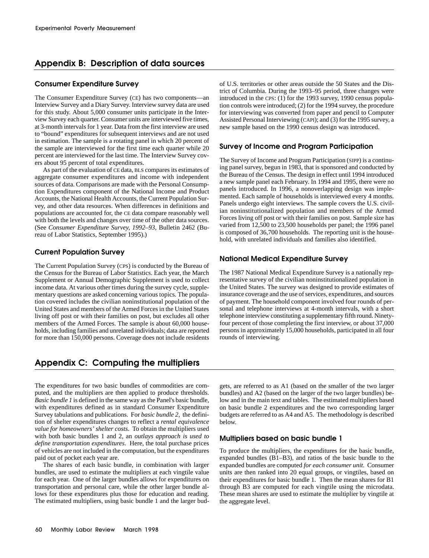### Appendix B: Description of data sources

#### Consumer Expenditure Survey

The Consumer Expenditure Survey (CE) has two components—an Interview Survey and a Diary Survey. Interview survey data are used for this study. About 5,000 consumer units participate in the Interview Survey each quarter. Consumer units are interviewed five times, at 3-month intervals for 1 year. Data from the first interview are used to "bound" expenditures for subsequent interviews and are not used in estimation. The sample is a rotating panel in which 20 percent of the sample are interviewed for the first time each quarter while 20 percent are interviewed for the last time. The Interview Survey covers about 95 percent of total expenditures.

As part of the evaluation of CE data, BLS compares its estimates of aggregate consumer expenditures and income with independent sources of data. Comparisons are made with the Personal Consumption Expenditures component of the National Income and Product Accounts, the National Health Accounts, the Current Population Survey, and other data resources. When differences in definitions and populations are accounted for, the CE data compare reasonably well with both the levels and changes over time of the other data sources. (See *Consumer Expenditure Survey, 1992–93*, Bulletin 2462 (Bureau of Labor Statistics, September 1995).)

#### Current Population Survey

The Current Population Survey (CPS) is conducted by the Bureau of the Census for the Bureau of Labor Statistics. Each year, the March Supplement or Annual Demographic Supplement is used to collect income data. At various other times during the survey cycle, supplementary questions are asked concerning various topics. The population covered includes the civilian noninstitutional population of the United States and members of the Armed Forces in the United States living off post or with their families on post, but excludes all other members of the Armed Forces. The sample is about 60,000 households, including families and unrelated individuals; data are reported for more than 150,000 persons. Coverage does not include residents

## Appendix C: Computing the multipliers

The expenditures for two basic bundles of commodities are computed, and the multipliers are then applied to produce thresholds. *Basic bundle 1* is defined in the same way as the Panel's basic bundle, with expenditures defined as in standard Consumer Expenditure Survey tabulations and publications. For *basic bundle 2*, the definition of shelter expenditures changes to reflect a *rental equivalence value for homeowners' shelter costs*. To obtain the multipliers used with both basic bundles 1 and 2, an *outlays approach is used to define transportation expenditures*. Here, the total purchase prices of vehicles are not included in the computation, but the expenditures paid out of pocket each year are.

The shares of each basic bundle, in combination with larger bundles, are used to estimate the multipliers at each vingtile value for each year. One of the larger bundles allows for expenditures on transportation and personal care, while the other larger bundle allows for these expenditures plus those for education and reading. The estimated multipliers, using basic bundle 1 and the larger budof U.S. territories or other areas outside the 50 States and the District of Columbia. During the 1993–95 period, three changes were introduced in the CPS: (1) for the 1993 survey, 1990 census population controls were introduced; (2) for the 1994 survey, the procedure for interviewing was converted from paper and pencil to Computer Assisted Personal Interviewing (CAPI); and (3) for the 1995 survey, a new sample based on the 1990 census design was introduced.

#### Survey of Income and Program Participation

The Survey of Income and Program Participation (SIPP) is a continuing panel survey, begun in 1983, that is sponsored and conducted by the Bureau of the Census. The design in effect until 1994 introduced a new sample panel each February. In 1994 and 1995, there were no panels introduced. In 1996, a nonoverlapping design was implemented. Each sample of households is interviewed every 4 months. Panels undergo eight interviews. The sample covers the U.S. civilian noninstitutionalized population and members of the Armed Forces living off post or with their families on post. Sample size has varied from 12,500 to 23,500 households per panel; the 1996 panel is composed of 36,700 households. The reporting unit is the household, with unrelated individuals and families also identified.

#### National Medical Expenditure Survey

The 1987 National Medical Expenditure Survey is a nationally representative survey of the civilian noninstitutionalized population in the United States. The survey was designed to provide estimates of insurance coverage and the use of services, expenditures, and sources of payment. The household component involved four rounds of personal and telephone interviews at 4-month intervals, with a short telephone interview constituting a supplementary fifth round. Ninetyfour percent of those completing the first interview, or about 37,000 persons in approximately 15,000 households, participated in all four rounds of interviewing.

gets, are referred to as A1 (based on the smaller of the two larger bundles) and A2 (based on the larger of the two larger bundles) below and in the main text and tables. The estimated multipliers based on basic bundle 2 expenditures and the two corresponding larger budgets are referred to as A4 and A5. The methodology is described below.

#### Multipliers based on basic bundle 1

To produce the multipliers, the expenditures for the basic bundle, expanded bundles (B1–B3), and ratios of the basic bundle to the expanded bundles are computed *for each consumer unit.* Consumer units are then ranked into 20 equal groups, or vingtiles, based on their expenditures for basic bundle 1. Then the mean shares for B1 through B3 are computed for each vingtile using the microdata. These mean shares are used to estimate the multiplier by vingtile at the aggregate level.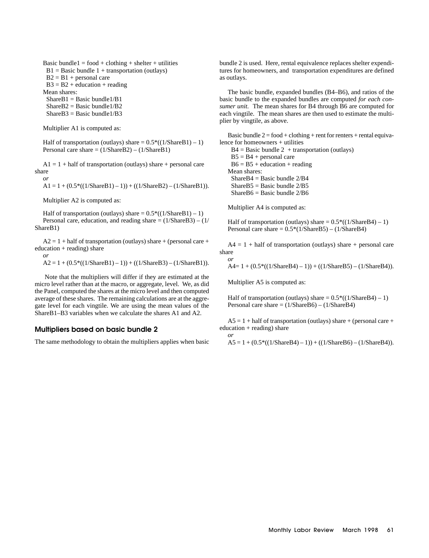Basic bundle1 =  $food + clothing + shelter + utilities$  $B1 = Basic bundle 1 + transportation (outlays)$  $B2 = B1 +$  personal care  $B3 = B2 +$  education + reading Mean shares:  $ShareB1 = Basic bundle1/B1$  $ShareB2 = Basic bundle1/B2$  $ShareB3 = Basic bundle1/B3$ 

Multiplier A1 is computed as:

Half of transportation (outlays) share  $= 0.5*(1/\text{ShareB1}) - 1$ ) Personal care share  $= (1/ShareB2) - (1/ShareB1)$ 

 $A1 = 1 + \text{half of transportation (outlays) share} + \text{personal care}$ share *or*

 $A1 = 1 + (0.5*((1/ShareB1) - 1)) + ((1/ShareB2) - (1/ShareB1)).$ 

Multiplier A2 is computed as:

Half of transportation (outlays) share  $= 0.5*(1/\text{ShareB1}) - 1$ ) Personal care, education, and reading share  $= (1/ShareB3) - (1/$ ShareB1)

 $A2 = 1 + \text{half of transportation (outlays) share} + (\text{personal care} +$ education + reading) share

*or*  $A2 = 1 + (0.5*((1/ShareB1) - 1)) + ((1/ShareB3) - (1/ShareB1)).$ 

 Note that the multipliers will differ if they are estimated at the micro level rather than at the macro, or aggregate, level. We, as did the Panel, computed the shares at the micro level and then computed average of these shares. The remaining calculations are at the aggregate level for each vingtile. We are using the mean values of the ShareB1–B3 variables when we calculate the shares A1 and A2.

#### Multipliers based on basic bundle 2

The same methodology to obtain the multipliers applies when basic

bundle 2 is used. Here, rental equivalence replaces shelter expenditures for homeowners, and transportation expenditures are defined as outlays.

The basic bundle, expanded bundles (B4–B6), and ratios of the basic bundle to the expanded bundles are computed *for each consumer unit.* The mean shares for B4 through B6 are computed for each vingtile. The mean shares are then used to estimate the multiplier by vingtile, as above.

Basic bundle  $2 = food + clothing + rent for renters + rental equiva$ lence for homeowners + utilities

 $B4 = Basic bundle 2 + transportation (outlays)$  $B5 = B4 +$  personal care  $B6 = B5 +$  education + reading Mean shares:  $ShareB4 = Basic bundle 2/B4$  ShareB5 = Basic bundle 2/B5  $ShareB6 = Basic bundle 2/B6$ 

Multiplier A4 is computed as:

Half of transportation (outlays) share  $= 0.5*(1/\text{ShareB4}) - 1$ ) Personal care share = 0.5\*(1/ShareB5) – (1/ShareB4)

 $A4 = 1 + \text{half of transportation (outlays) share} + \text{personal care}$ share

A4=  $1 + (0.5*((1/ShareB4) - 1)) + ((1/ShareB5) - (1/ShareB4)).$ 

Multiplier A5 is computed as:

*or*

*or*

Half of transportation (outlays) share  $= 0.5*(1/\text{ShareB4}) - 1$ ) Personal care share  $= (1/ShareB6) - (1/ShareB4)$ 

 $A5 = 1 + \text{half of transportation (outlays) share} + (\text{personal care} +$ education + reading) share

 $A5 = 1 + (0.5*((1/ShareB4) - 1)) + ((1/ShareB6) - (1/ShareB4)).$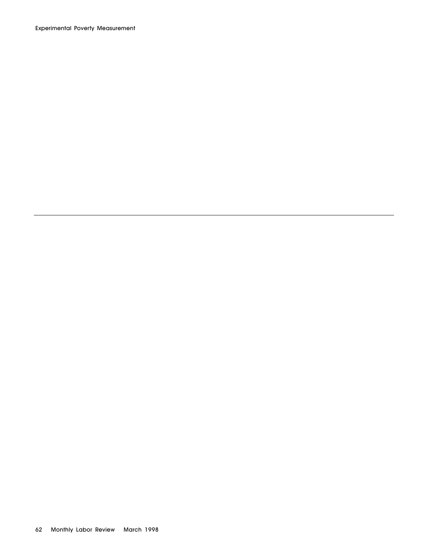Experimental Poverty Measurement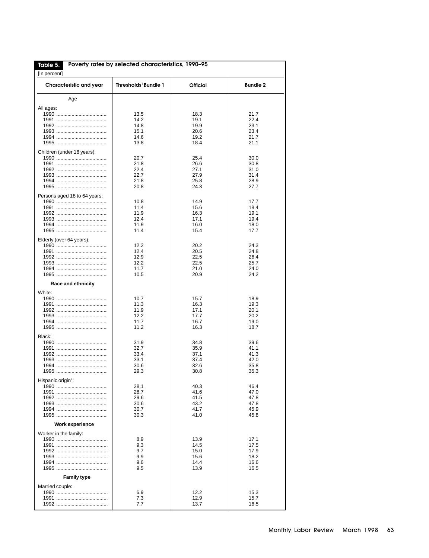| Poverty rates by selected characteristics, 1990-95<br>Table 5. |                                  |                 |                 |  |  |  |  |  |
|----------------------------------------------------------------|----------------------------------|-----------------|-----------------|--|--|--|--|--|
| [In percent]                                                   |                                  |                 |                 |  |  |  |  |  |
| Characteristic and year                                        | Thresholds <sup>1</sup> Bundle 1 | <b>Official</b> | <b>Bundle 2</b> |  |  |  |  |  |
| Age                                                            |                                  |                 |                 |  |  |  |  |  |
| All ages:                                                      |                                  |                 |                 |  |  |  |  |  |
|                                                                | 13.5                             | 18.3            | 21.7            |  |  |  |  |  |
|                                                                | 14.2<br>14.8                     | 19.1<br>19.9    | 22.4<br>23.1    |  |  |  |  |  |
|                                                                | 15.1                             | 20.6            | 23.4            |  |  |  |  |  |
|                                                                | 14.6                             | 19.2            | 21.7            |  |  |  |  |  |
|                                                                | 13.8                             | 18.4            | 21.1            |  |  |  |  |  |
| Children (under 18 years):                                     |                                  | 25.4            | 30.0            |  |  |  |  |  |
|                                                                | 20.7<br>21.8                     | 26.6            | 30.8            |  |  |  |  |  |
|                                                                | 22.4                             | 27.1            | 31.0            |  |  |  |  |  |
|                                                                | 22.7                             | 27.9            | 31.4            |  |  |  |  |  |
|                                                                | 21.8<br>20.8                     | 25.8<br>24.3    | 28.9<br>27.7    |  |  |  |  |  |
|                                                                |                                  |                 |                 |  |  |  |  |  |
| Persons aged 18 to 64 years:                                   | 10.8                             | 14.9            | 17.7            |  |  |  |  |  |
|                                                                | 11.4                             | 15.6            | 18.4            |  |  |  |  |  |
|                                                                | 11.9                             | 16.3            | 19.1            |  |  |  |  |  |
|                                                                | 12.4                             | 17.1            | 19.4            |  |  |  |  |  |
|                                                                | 11.9<br>11.4                     | 16.0<br>15.4    | 18.0<br>17.7    |  |  |  |  |  |
| Elderly (over 64 years):                                       |                                  |                 |                 |  |  |  |  |  |
|                                                                | 12.2                             | 20.2            | 24.3            |  |  |  |  |  |
|                                                                | 12.4                             | 20.5            | 24.8            |  |  |  |  |  |
|                                                                | 12.9                             | 22.5            | 26.4            |  |  |  |  |  |
|                                                                | 12.2<br>11.7                     | 22.5<br>21.0    | 25.7<br>24.0    |  |  |  |  |  |
|                                                                | 10.5                             | 20.9            | 24.2            |  |  |  |  |  |
| Race and ethnicity                                             |                                  |                 |                 |  |  |  |  |  |
| White:                                                         |                                  |                 |                 |  |  |  |  |  |
|                                                                | 10.7                             | 15.7            | 18.9            |  |  |  |  |  |
|                                                                | 11.3                             | 16.3            | 19.3            |  |  |  |  |  |
|                                                                | 11.9                             | 17.1            | 20.1            |  |  |  |  |  |
|                                                                | 12.2<br>11.7                     | 17.7<br>16.7    | 20.2<br>19.0    |  |  |  |  |  |
|                                                                | 11.2                             | 16.3            | 18.7            |  |  |  |  |  |
| Black:                                                         |                                  |                 |                 |  |  |  |  |  |
|                                                                | 31.9                             | 34.8            | 39.6            |  |  |  |  |  |
|                                                                | 32.7                             | 35.9            | 41.1            |  |  |  |  |  |
|                                                                | 33.4<br>33.1                     | 37.1<br>37.4    | 41.3<br>42.0    |  |  |  |  |  |
|                                                                | 30.6                             | 32.6            | 35.8            |  |  |  |  |  |
|                                                                | 29.3                             | 30.8            | 35.3            |  |  |  |  |  |
| Hispanic origin <sup>2</sup> :                                 |                                  |                 |                 |  |  |  |  |  |
|                                                                | 28.1<br>28.7                     | 40.3<br>41.6    | 46.4<br>47.0    |  |  |  |  |  |
|                                                                | 29.6                             | 41.5            | 47.8            |  |  |  |  |  |
|                                                                | 30.6                             | 43.2            | 47.8            |  |  |  |  |  |
|                                                                | 30.7                             | 41.7            | 45.9            |  |  |  |  |  |
|                                                                | 30.3                             | 41.0            | 45.8            |  |  |  |  |  |
| <b>Work experience</b>                                         |                                  |                 |                 |  |  |  |  |  |
| Worker in the family:                                          |                                  |                 |                 |  |  |  |  |  |
|                                                                | 8.9<br>9.3                       | 13.9<br>14.5    | 17.1<br>17.5    |  |  |  |  |  |
|                                                                | 9.7                              | 15.0            | 17.9            |  |  |  |  |  |
|                                                                | 9.9                              | 15.6            | 18.2            |  |  |  |  |  |
|                                                                | 9.6                              | 14.4            | 16.6            |  |  |  |  |  |
|                                                                | 9.5                              | 13.9            | 16.5            |  |  |  |  |  |
| <b>Family type</b>                                             |                                  |                 |                 |  |  |  |  |  |
| Married couple:                                                |                                  |                 |                 |  |  |  |  |  |
|                                                                | 6.9<br>7.3                       | 12.2<br>12.9    | 15.3<br>15.7    |  |  |  |  |  |
|                                                                | 7.7                              | 13.7            | 16.5            |  |  |  |  |  |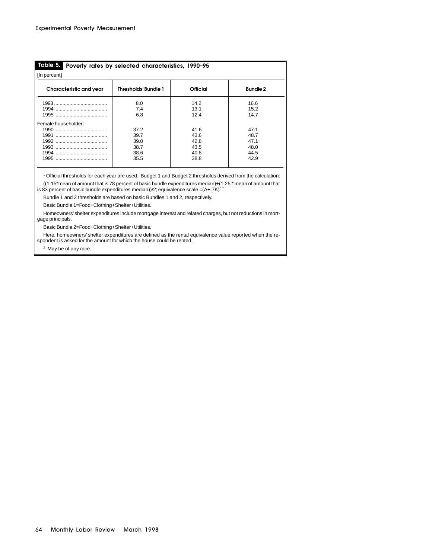| Table 5. Poverty rates by selected characteristics, 1990-95 |                                  |          |                 |  |  |  |  |  |
|-------------------------------------------------------------|----------------------------------|----------|-----------------|--|--|--|--|--|
| [In percent]                                                |                                  |          |                 |  |  |  |  |  |
| Characteristic and year                                     | Thresholds <sup>1</sup> Bundle 1 | Official | <b>Bundle 2</b> |  |  |  |  |  |
|                                                             | 8.0                              | 14.2     | 16.6            |  |  |  |  |  |
|                                                             | 7.4                              | 13.1     | 15.2            |  |  |  |  |  |
|                                                             | 6.8                              | 12.4     | 14.7            |  |  |  |  |  |
| Female householder:                                         |                                  |          |                 |  |  |  |  |  |
|                                                             | 37.2                             | 41.6     | 47.1            |  |  |  |  |  |
|                                                             | 39.7                             | 43.6     | 48.7            |  |  |  |  |  |
|                                                             | 39.0                             | 42.8     | 47.1            |  |  |  |  |  |
|                                                             | 38.7                             | 43.5     | 48.0            |  |  |  |  |  |
|                                                             | 38.6                             | 40.8     | 44.5            |  |  |  |  |  |
|                                                             | 35.5                             | 38.8     | 42.9            |  |  |  |  |  |
|                                                             |                                  |          |                 |  |  |  |  |  |

1 Official thresholds for each year are used. Budget 1 and Budget 2 thresholds derived from the calculation: ((1.15\*mean of amount that is 78 percent of basic bundle expenditures median)+(1.25 \* mean of amount that

is 83 percent of basic bundle expenditures median))/2; equivalence scale = $(A+7K)^{0.7}$ .

Bundle 1 and 2 thresholds are based on basic Bundles 1 and 2, respectively.

Basic Bundle 1=Food+Clothing+Shelter+Utilities.

Homeowners' shelter expenditures include mortgage interest and related charges, but not reductions in mortgage principals.

Basic Bundle 2=Food+Clothing+Shelter+Utilities.

Here, homeowners' shelter expenditures are defined as the rental equivalence value reported when the respondent is asked for the amount for which the house could be rented.

2 May be of any race.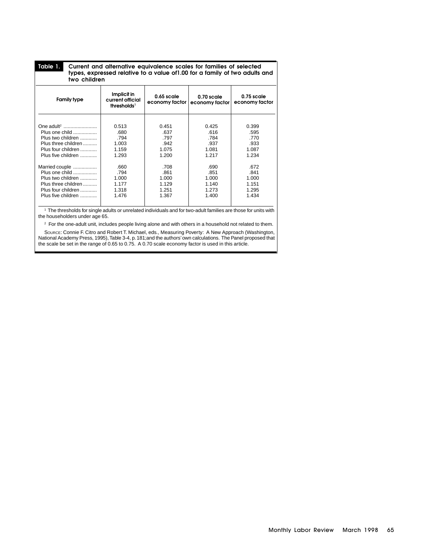Table 1.

Current and alternative equivalence scales for families of selected types, expressed relative to a value of1.00 for a family of two adults and two children

| <b>Family type</b>     | Implicit in<br>current official<br>thresholds <sup>1</sup> | $0.65$ scale<br>economy factor | $0.70$ scale<br>economy factor | $0.75$ scale<br>economy factor |  |
|------------------------|------------------------------------------------------------|--------------------------------|--------------------------------|--------------------------------|--|
| One adult <sup>2</sup> | 0.513                                                      | 0.451                          | 0.425                          | 0.399                          |  |
| Plus one child         | .680                                                       | .637                           | .616                           | .595                           |  |
| Plus two children      | .794                                                       | .797                           | .784                           | .770                           |  |
| Plus three children    | 1.003                                                      | .942                           | .937                           | .933                           |  |
| Plus four children     | 1.159                                                      | 1.075                          | 1.081                          | 1.087                          |  |
| Plus five children     | 1.293                                                      | 1.200                          | 1.217                          | 1.234                          |  |
| Married couple         | .660                                                       | .708                           | .690                           | .672                           |  |
| Plus one child         | .794                                                       | .861                           | .851                           | .841                           |  |
| Plus two children      | 1.000                                                      | 1.000                          | 1.000                          | 1.000                          |  |
| Plus three children    | 1.177                                                      | 1.129                          | 1.140                          | 1.151                          |  |
| Plus four children     | 1.318                                                      | 1.251                          | 1.273                          | 1.295                          |  |
| Plus five children     | 1.476                                                      | 1.367                          | 1.400                          | 1.434                          |  |

1 The thresholds for single adults or unrelated individuals and for two-adult families are those for units with the householders under age 65.

<sup>2</sup> For the one-adult unit, includes people living alone and with others in a household not related to them.

SOURCE: Connie F. Citro and Robert T. Michael, eds., Measuring Poverty: A New Approach (Washington, National Academy Press, 1995), Table 3-4, p. 181;and the authors' own calculations. The Panel proposed that the scale be set in the range of 0.65 to 0.75. A 0.70 scale economy factor is used in this article.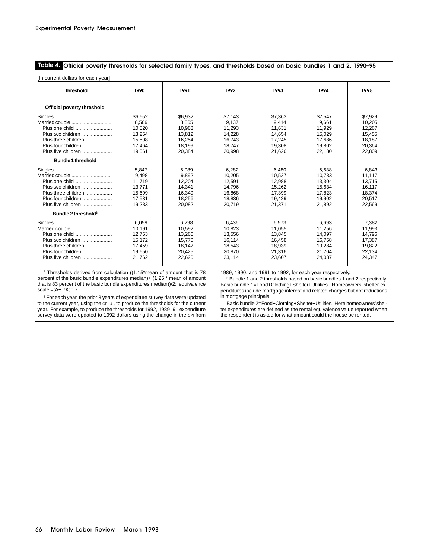#### Table 4. Official poverty thresholds for selected family types, and thresholds based on basic bundles 1 and 2, 1990–95

[In current dollars for each year]

| The current dollars for each year. |         |         |         |         |         |         |
|------------------------------------|---------|---------|---------|---------|---------|---------|
| <b>Threshold</b>                   | 1990    | 1991    | 1992    | 1993    | 1994    | 1995    |
| Official poverty threshold         |         |         |         |         |         |         |
|                                    | \$6.652 | \$6.932 | \$7,143 | \$7,363 | \$7,547 | \$7.929 |
| Married couple                     | 8.509   | 8.865   | 9.137   | 9.414   | 9.661   | 10.205  |
|                                    | 10,520  | 10,963  | 11,293  | 11.631  | 11.929  | 12,267  |
| Plus two children                  | 13.254  | 13.812  | 14.228  | 14.654  | 15.029  | 15.455  |
| Plus three children                | 15.598  | 16.254  | 16.743  | 17.245  | 17.686  | 18.187  |
| Plus four children                 | 17,464  | 18,199  | 18,747  | 19,308  | 19,802  | 20,364  |
| Plus five children                 | 19,561  | 20,384  | 20,998  | 21,626  | 22,180  | 22,809  |
| <b>Bundle 1 threshold</b>          |         |         |         |         |         |         |
|                                    | 5.847   | 6.089   | 6.282   | 6.480   | 6.638   | 6.843   |
| Married couple                     | 9,498   | 9,892   | 10,205  | 10,527  | 10,783  | 11,117  |
| Plus one child                     | 11.719  | 12.204  | 12.591  | 12.988  | 13.304  | 13.715  |
| Plus two children                  | 13.771  | 14.341  | 14.796  | 15.262  | 15.634  | 16.117  |
| Plus three children                | 15,699  | 16,349  | 16,868  | 17,399  | 17,823  | 18.374  |
| Plus four children                 | 17,531  | 18,256  | 18,836  | 19,429  | 19,902  | 20,517  |
| Plus five children                 | 19,283  | 20,082  | 20,719  | 21,371  | 21,892  | 22,569  |
| Bundle 2 threshold <sup>3</sup>    |         |         |         |         |         |         |
|                                    | 6,059   | 6,298   | 6,436   | 6,573   | 6.693   | 7,382   |
| Married couple                     | 10.191  | 10.592  | 10.823  | 11.055  | 11.256  | 11.993  |
|                                    | 12.763  | 13.266  | 13.556  | 13.845  | 14.097  | 14.796  |
| Plus two children                  | 15,172  | 15,770  | 16,114  | 16,458  | 16,758  | 17,387  |
| Plus three children                | 17,459  | 18,147  | 18,543  | 18,939  | 19,284  | 19,822  |
| Plus four children                 | 19.650  | 20.425  | 20.870  | 21.316  | 21.704  | 22.134  |
| Plus five children                 | 21.762  | 22,620  | 23,114  | 23.607  | 24.037  | 24.347  |
|                                    |         |         |         |         |         |         |

<sup>1</sup> Thresholds derived from calculation ((1.15\*mean of amount that is 78 percent of the basic bundle expenditures median)+ (1.25 \* mean of amount that is 83 percent of the basic bundle expenditures median))/2; equivalence  $scale = (A+.7K)0.7$ 

1989, 1990, and 1991 to 1992, for each year respectively.

3 Bundle 1 and 2 thresholds based on basic bundles 1 and 2 respectively. Basic bundle 1=Food+Clothing+Shelter+Utilities. Homeowners' shelter expenditures include mortgage interest and related charges but not reductions in mortgage principals.

 $2$  For each year, the prior 3 years of expenditure survey data were updated to the current year, using the CPI-U , to produce the thresholds for the current year. For example, to produce the thresholds for 1992, 1989–91 expenditure survey data were updated to 1992 dollars using the change in the CPI from

Basic bundle 2=Food+Clothing+Shelter+Utilities. Here homeowners' shelter expenditures are defined as the rental equivalence value reported when the respondent is asked for what amount could the house be rented.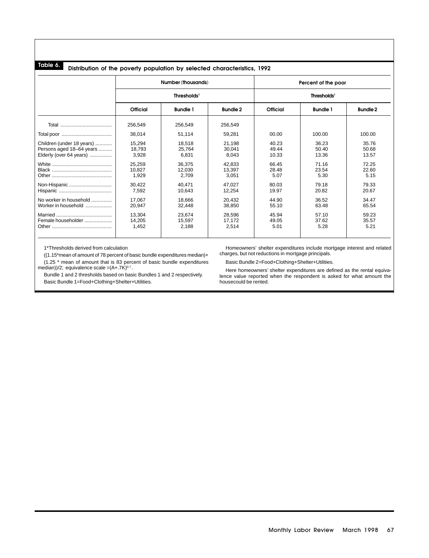Table 6.

| Tuple o.<br>Distribution of the poverty population by selected characteristics, 1992 |                           |                           |                           |                         |                         |                         |  |
|--------------------------------------------------------------------------------------|---------------------------|---------------------------|---------------------------|-------------------------|-------------------------|-------------------------|--|
|                                                                                      |                           | Number (thousands)        |                           | Percent of the poor     |                         |                         |  |
|                                                                                      | Thresholds <sup>1</sup>   |                           |                           | Thresholds <sup>1</sup> |                         |                         |  |
|                                                                                      | Official                  | <b>Bundle 1</b>           | <b>Bundle 2</b>           | <b>Official</b>         | <b>Bundle 1</b>         | <b>Bundle 2</b>         |  |
|                                                                                      | 256,549                   | 256,549                   | 256.549                   |                         |                         |                         |  |
|                                                                                      | 38,014                    | 51.114                    | 59,281                    | 00.00                   | 100.00                  | 100.00                  |  |
| Children (under 18 years)<br>Persons aged 18-64 years<br>Elderly (over 64 years)     | 15,294<br>18,793<br>3,928 | 18,518<br>25.764<br>6,831 | 21,198<br>30.041<br>8,043 | 40.23<br>49.44<br>10.33 | 36.23<br>50.40<br>13.36 | 35.76<br>50.68<br>13.57 |  |
|                                                                                      | 25,259<br>10,827<br>1,929 | 36,375<br>12,030<br>2.709 | 42,833<br>13,397<br>3,051 | 66.45<br>28.48<br>5.07  | 71.16<br>23.54<br>5.30  | 72.25<br>22.60<br>5.15  |  |
| Non-Hispanic                                                                         | 30.422<br>7,592           | 40.471<br>10,643          | 47.027<br>12,254          | 80.03<br>19.97          | 79.18<br>20.82          | 79.33<br>20.67          |  |
| No worker in household<br>Worker in household                                        | 17,067<br>20,947          | 18,666<br>32,448          | 20,432<br>38,850          | 44.90<br>55.10          | 36.52<br>63.48          | 34.47<br>65.54          |  |
| Female householder                                                                   | 13,304<br>14,205<br>1,452 | 23,674<br>15,597<br>2,188 | 28,596<br>17,172<br>2,514 | 45.94<br>49.05<br>5.01  | 57.10<br>37.62<br>5.28  | 59.23<br>35.57<br>5.21  |  |

1\*Thresholds derived from calculation

((1.15\*mean of amount of 78 percent of basic bundle expenditures median)+ (1.25 \* mean of amount that is 83 percent of basic bundle expenditures median))/2; equivalence scale = $(A+.7K)^{0.7}$ .

Bundle 1 and 2 thresholds based on basic Bundles 1 and 2 respectively. Basic Bundle 1=Food+Clothing+Shelter+Utilities.

Homeowners' shelter expenditures include mortgage interest and related charges, but not reductions in mortgage principals.

Basic Bundle 2=Food+Clothing+Shelter+Utilities.

Here homeowners' shelter expenditures are defined as the rental equivalence value reported when the respondent is asked for what amount the housecould be rented.